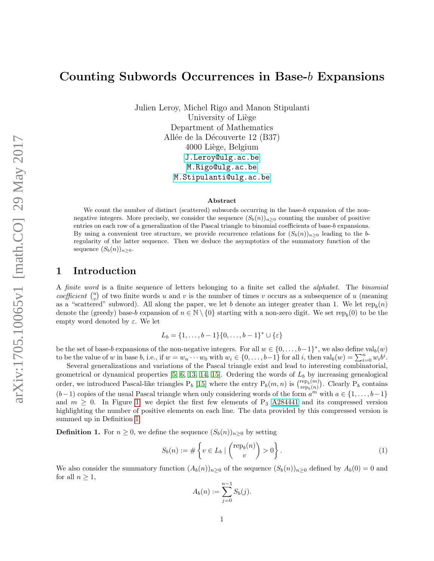# Counting Subwords Occurrences in Base-b Expansions

Julien Leroy, Michel Rigo and Manon Stipulanti University of Liège Department of Mathematics Allée de la Découverte 12 (B37) 4000 Liège, Belgium [J.Leroy@ulg.ac.be](mailto:J.Leroy@ulg.ac.be) [M.Rigo@ulg.ac.be](mailto:M.Rigo@ulg.ac.be) [M.Stipulanti@ulg.ac.be](mailto:M.Stipulanti@ulg.ac.be)

#### Abstract

We count the number of distinct (scattered) subwords occurring in the base-b expansion of the nonnegative integers. More precisely, we consider the sequence  $(S_b(n))_{n>0}$  counting the number of positive entries on each row of a generalization of the Pascal triangle to binomial coefficients of base-b expansions. By using a convenient tree structure, we provide recurrence relations for  $(S_b(n))_{n>0}$  leading to the bregularity of the latter sequence. Then we deduce the asymptotics of the summatory function of the sequence  $(S_b(n))_{n\geq 0}$ .

### 1 Introduction

A *finite word* is a finite sequence of letters belonging to a finite set called the *alphabet*. The *binomial* coefficient  $\binom{u}{v}$  of two finite words u and v is the number of times v occurs as a subsequence of u (meaning as a "scattered" subword). All along the paper, we let b denote an integer greater than 1. We let  $\text{rep}_b(n)$ denote the (greedy) base-b expansion of  $n \in \mathbb{N} \setminus \{0\}$  starting with a non-zero digit. We set rep<sub>b</sub>(0) to be the empty word denoted by  $\varepsilon$ . We let

$$
L_b = \{1, \ldots, b-1\} \{0, \ldots, b-1\}^* \cup \{\varepsilon\}
$$

be the set of base-b expansions of the non-negative integers. For all  $w \in \{0, \ldots, b-1\}^*$ , we also define val $_b(w)$ to be the value of w in base b, i.e., if  $w = w_n \cdots w_0$  with  $w_i \in \{0, \ldots, b-1\}$  for all i, then  $\text{val}_b(w) = \sum_{i=0}^n w_i b^i$ .

Several generalizations and variations of the Pascal triangle exist and lead to interesting combinatorial, geometrical or dynamical properties  $[5, 6, 13, 14, 15]$  $[5, 6, 13, 14, 15]$  $[5, 6, 13, 14, 15]$  $[5, 6, 13, 14, 15]$  $[5, 6, 13, 14, 15]$ . Ordering the words of  $L<sub>b</sub>$  by increasing genealogical order, we introduced Pascal-like triangles  $P_b$  [\[15\]](#page-21-2) where the entry  $P_b(m, n)$  is  $\binom{\text{rep}_b(m)}{\text{rep}_b(n)}$  $(\text{rep}_b(m))$ . Clearly  $P_b$  contains  $(b-1)$  copies of the usual Pascal triangle when only considering words of the form  $a^{m}$  with  $a \in \{1, \ldots, b-1\}$ and  $m \geq 0$ . In Figure [1,](#page-1-0) we depict the first few elements of P<sub>3</sub> [A284441](http://oeis.org/A284441) and its compressed version highlighting the number of positive elements on each line. The data provided by this compressed version is summed up in Definition [1.](#page-0-0)

<span id="page-0-0"></span>**Definition 1.** For  $n \geq 0$ , we define the sequence  $(S_b(n))_{n \geq 0}$  by setting

$$
S_b(n) := \# \left\{ v \in L_b \mid \binom{\text{rep}_b(n)}{v} > 0 \right\}.
$$
 (1)

We also consider the summatory function  $(A_b(n))_{n>0}$  of the sequence  $(S_b(n))_{n>0}$  defined by  $A_b(0) = 0$  and for all  $n \geq 1$ ,

$$
A_b(n) := \sum_{j=0}^{n-1} S_b(j).
$$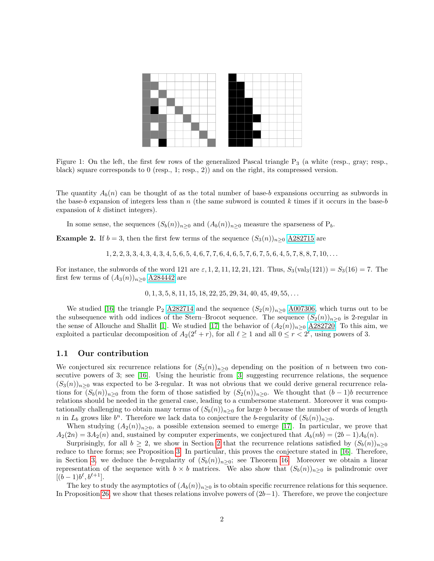

<span id="page-1-0"></span>Figure 1: On the left, the first few rows of the generalized Pascal triangle  $P_3$  (a white (resp., gray; resp., black) square corresponds to 0 (resp., 1; resp., 2)) and on the right, its compressed version.

The quantity  $A_b(n)$  can be thought of as the total number of base-b expansions occurring as subwords in the base-b expansion of integers less than n (the same subword is counted k times if it occurs in the base-b expansion of  $k$  distinct integers).

In some sense, the sequences  $(S_b(n))_{n\geq 0}$  and  $(A_b(n))_{n\geq 0}$  measure the sparseness of  $P_b$ .

**Example 2.** If  $b = 3$ , then the first few terms of the sequence  $(S_3(n))_{n>0}$  [A282715](http://oeis.org/A282715) are

 $1, 2, 2, 3, 3, 4, 3, 4, 3, 4, 5, 6, 5, 4, 6, 7, 7, 6, 4, 6, 5, 7, 6, 7, 5, 6, 4, 5, 7, 8, 8, 7, 10, \ldots$ 

For instance, the subwords of the word 121 are  $\varepsilon$ , 1, 2, 11, 12, 21, 121. Thus,  $S_3(\text{val}_3(121)) = S_3(16) = 7$ . The first few terms of  $(A_3(n))_{n\geq 0}$  [A284442](http://oeis.org/A284442) are

 $0, 1, 3, 5, 8, 11, 15, 18, 22, 25, 29, 34, 40, 45, 49, 55, \ldots$ 

We studied [\[16\]](#page-21-3) the triangle P<sub>2</sub> [A282714](http://oeis.org/A282714) and the sequence  $(S_2(n))_{n\geq 0}$  [A007306,](http://oeis.org/A007306) which turns out to be the subsequence with odd indices of the Stern–Brocot sequence. The sequence  $(S_2(n))_{n>0}$  is 2-regular in the sense of Allouche and Shallit [\[1\]](#page-20-2). We studied [\[17\]](#page-21-4) the behavior of  $(A_2(n))_{n\geq 0}$   $\underline{A282720}$ . To this aim, we exploited a particular decomposition of  $A_2(2^{\ell} + r)$ , for all  $\ell \ge 1$  and all  $0 \le r < 2^{\ell}$ , using powers of 3.

#### 1.1 Our contribution

We conjectured six recurrence relations for  $(S_3(n))_{n>0}$  depending on the position of n between two consecutive powers of 3; see [\[16\]](#page-21-3). Using the heuristic from [\[3\]](#page-20-3) suggesting recurrence relations, the sequence  $(S_3(n))_{n>0}$  was expected to be 3-regular. It was not obvious that we could derive general recurrence relations for  $(S_b(n))_{n\geq 0}$  from the form of those satisfied by  $(S_2(n))_{n\geq 0}$ . We thought that  $(b-1)b$  recurrence relations should be needed in the general case, leading to a cumbersome statement. Moreover it was computationally challenging to obtain many terms of  $(S_b(n))_{n>0}$  for large b because the number of words of length n in  $L_b$  grows like  $b^n$ . Therefore we lack data to conjecture the b-regularity of  $(S_b(n))_{n\geq 0}$ .

When studying  $(A_2(n))_{n\geq 0}$ , a possible extension seemed to emerge [\[17\]](#page-21-4). In particular, we prove that  $A_2(2n) = 3A_2(n)$  and, sustained by computer experiments, we conjectured that  $A_b(nb) = (2b-1)A_b(n)$ .

Surprisingly, for all  $b \geq 2$  $b \geq 2$ , we show in Section 2 that the recurrence relations satisfied by  $(S_b(n))_{n>0}$ reduce to three forms; see Proposition [3.](#page-2-1) In particular, this proves the conjecture stated in [\[16\]](#page-21-3). Therefore, in Section [3,](#page-10-0) we deduce the b-regularity of  $(S_b(n))_{n>0}$ ; see Theorem [16.](#page-10-1) Moreover we obtain a linear representation of the sequence with  $b \times b$  matrices. We also show that  $(S_b(n))_{n\geq 0}$  is palindromic over  $[(b-1)b^{\ell}, b^{\ell+1}].$ 

The key to study the asymptotics of  $(A_b(n))_{n>0}$  is to obtain specific recurrence relations for this sequence. In Proposition [26,](#page-18-0) we show that theses relations involve powers of  $(2b-1)$ . Therefore, we prove the conjecture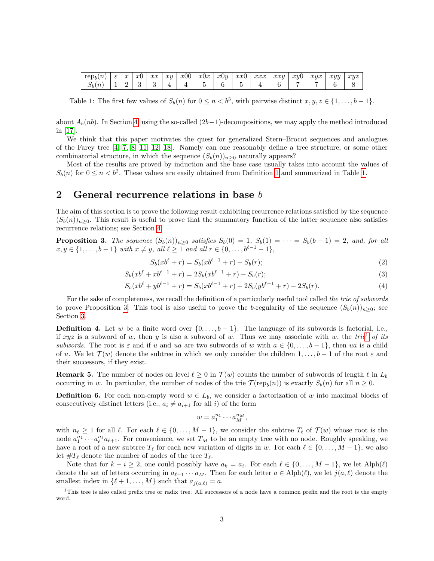| rep <sub>k</sub><br>$\boldsymbol{n}$ | ◡ | $\sim$<br>w | $\sim$<br>w | $\sim$<br>.ww | xy | x00 | x0x | x0y | $\sim$ $\sim$ $\sim$<br>ww | $\alpha \alpha \alpha$<br>it it it | xxu | $x_{y}$<br>v | xyx | xyy | xyz |
|--------------------------------------|---|-------------|-------------|---------------|----|-----|-----|-----|----------------------------|------------------------------------|-----|--------------|-----|-----|-----|
| $\binom{n}{2}$<br>いり                 | - |             |             |               |    |     |     |     |                            |                                    |     |              |     |     |     |

<span id="page-2-2"></span>Table 1: The first few values of  $S_b(n)$  for  $0 \le n < b^3$ , with pairwise distinct  $x, y, z \in \{1, ..., b-1\}$ .

about  $A_h(nb)$ . In Section [4,](#page-15-0) using the so-called  $(2b-1)$ -decompositions, we may apply the method introduced in [\[17\]](#page-21-4).

We think that this paper motivates the quest for generalized Stern–Brocot sequences and analogues of the Farey tree [\[4,](#page-20-4) [7,](#page-21-5) [8,](#page-21-6) [11,](#page-21-7) [12,](#page-21-8) [18\]](#page-21-9). Namely can one reasonably define a tree structure, or some other combinatorial structure, in which the sequence  $(S_b(n))_{n>0}$  naturally appears?

Most of the results are proved by induction and the base case usually takes into account the values of  $S_b(n)$  for  $0 \le n < b^2$ . These values are easily obtained from Definition [1](#page-0-0) and summarized in Table [1.](#page-2-2)

### <span id="page-2-0"></span>2 General recurrence relations in base b

The aim of this section is to prove the following result exhibiting recurrence relations satisfied by the sequence  $(S_b(n))_{n>0}$ . This result is useful to prove that the summatory function of the latter sequence also satisfies recurrence relations; see Section [4.](#page-15-0)

<span id="page-2-1"></span>**Proposition 3.** The sequence  $(S_b(n))_{n\geq 0}$  satisfies  $S_b(0) = 1$ ,  $S_b(1) = \cdots = S_b(b-1) = 2$ , and, for all  $x, y \in \{1, \ldots, b-1\}$  with  $x \neq y$ , all  $\ell \geq 1$  and all  $r \in \{0, \ldots, b^{\ell-1}-1\}$ ,

<span id="page-2-6"></span><span id="page-2-5"></span>
$$
S_b(xb^{\ell} + r) = S_b(xb^{\ell-1} + r) + S_b(r); \tag{2}
$$

$$
S_b(xb^{\ell} + xb^{\ell-1} + r) = 2S_b(xb^{\ell-1} + r) - S_b(r);
$$
\n(3)

$$
S_b(xb^{\ell} + yb^{\ell-1} + r) = S_b(xb^{\ell-1} + r) + 2S_b(yb^{\ell-1} + r) - 2S_b(r). \tag{4}
$$

For the sake of completeness, we recall the definition of a particularly useful tool called the trie of subwords to prove Proposition [3.](#page-2-1) This tool is also useful to prove the b-regularity of the sequence  $(S_b(n))_{n>0}$ ; see Section [3.](#page-10-0)

**Definition 4.** Let w be a finite word over  $\{0, \ldots, b-1\}$ . The language of its subwords is factorial, i.e., if xyz is a subword of w, then y is also a subword of w. Thus we may associate with w, the trie<sup>[1](#page-2-3)</sup> of its subwords. The root is  $\varepsilon$  and if u and ua are two subwords of w with  $a \in \{0, \ldots, b-1\}$ , then ua is a child of u. We let  $\mathcal{T}(w)$  denote the subtree in which we only consider the children  $1,\ldots,b-1$  of the root  $\varepsilon$  and their successors, if they exist.

<span id="page-2-4"></span>**Remark 5.** The number of nodes on level  $\ell \geq 0$  in  $\mathcal{T}(w)$  counts the number of subwords of length  $\ell$  in  $L_b$ occurring in w. In particular, the number of nodes of the trie  $\mathcal{T}(\text{rep}_b(n))$  is exactly  $S_b(n)$  for all  $n \geq 0$ .

**Definition 6.** For each non-empty word  $w \in L_b$ , we consider a factorization of w into maximal blocks of consecutively distinct letters (i.e.,  $a_i \neq a_{i+1}$  for all i) of the form

<span id="page-2-7"></span>
$$
w = a_1^{n_1} \cdots a_M^{n_M},
$$

with  $n_\ell \geq 1$  for all  $\ell$ . For each  $\ell \in \{0, \ldots, M - 1\}$ , we consider the subtree  $T_\ell$  of  $\mathcal{T} (w)$  whose root is the node  $a_1^{n_1} \cdots a_\ell^{n_\ell} a_{\ell+1}$ . For convenience, we set  $T_M$  to be an empty tree with no node. Roughly speaking, we have a root of a new subtree  $T_{\ell}$  for each new variation of digits in w. For each  $\ell \in \{0, \ldots, M-1\}$ , we also let  $\#T_{\ell}$  denote the number of nodes of the tree  $T_{\ell}$ .

Note that for  $k - i \geq 2$ , one could possibly have  $a_k = a_i$ . For each  $\ell \in \{0, ..., M - 1\}$ , we let  $\text{Alph}(\ell)$ denote the set of letters occurring in  $a_{\ell+1} \cdots a_M$ . Then for each letter  $a \in \text{Alph}(\ell)$ , we let  $j(a, \ell)$  denote the smallest index in  $\{\ell + 1, \ldots, M\}$  such that  $a_{j(a,\ell)} = a$ .

<span id="page-2-3"></span> $1$ This tree is also called prefix tree or radix tree. All successors of a node have a common prefix and the root is the empty word.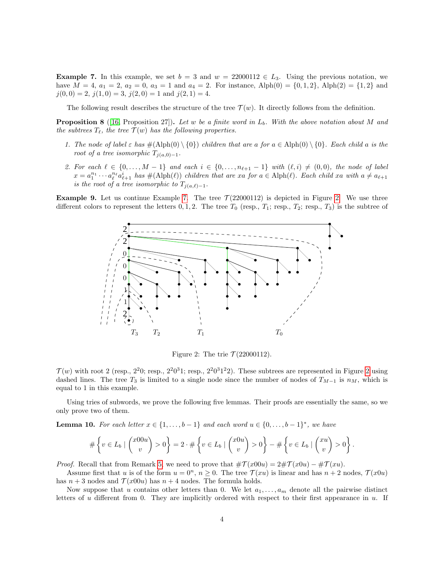<span id="page-3-0"></span>**Example 7.** In this example, we set  $b = 3$  and  $w = 22000112 \in L_3$ . Using the previous notation, we have  $M = 4$ ,  $a_1 = 2$ ,  $a_2 = 0$ ,  $a_3 = 1$  and  $a_4 = 2$ . For instance, Alph(0) = {0, 1, 2}, Alph(2) = {1, 2} and  $j(0, 0) = 2$ ,  $j(1, 0) = 3$ ,  $j(2, 0) = 1$  and  $j(2, 1) = 4$ .

The following result describes the structure of the tree  $\mathcal{T}(w)$ . It directly follows from the definition.

**Proposition 8** ([\[16,](#page-21-3) Proposition 27]). Let w be a finite word in  $L<sub>b</sub>$ . With the above notation about M and the subtrees  $T_{\ell}$ , the tree  $\mathcal{T}(w)$  has the following properties.

- 1. The node of label  $\varepsilon$  has  $\#(\text{Alph}(0) \setminus \{0\})$  children that are a for  $a \in \text{Alph}(0) \setminus \{0\}$ . Each child a is the root of a tree isomorphic  $T_{i(a,0)-1}$ .
- 2. For each  $\ell \in \{0, \ldots, M-1\}$  and each  $i \in \{0, \ldots, n_{\ell+1} 1\}$  with  $(\ell, i) \neq (0, 0)$ , the node of label  $x = a_1^{n_1} \cdots a_\ell^{n_\ell} a_{\ell+1}^i$  has  $\#(\text{Alph}(\ell))$  children that are xa for  $a \in \text{Alph}(\ell)$ . Each child xa with  $a \neq a_{\ell+1}$ is the root of a tree isomorphic to  $T_{j(a,\ell)-1}$ .

**Example 9.** Let us continue Example [7.](#page-3-0) The tree  $\mathcal{T}(22000112)$  is depicted in Figure [2.](#page-3-1) We use three different colors to represent the letters  $0, 1, 2$ . The tree  $T_0$  (resp.,  $T_1$ ; resp.,  $T_2$ ; resp.,  $T_3$ ) is the subtree of



<span id="page-3-1"></span>Figure 2: The trie  $\mathcal{T}(22000112)$ .

 $\mathcal{T}(w)$  with root [2](#page-3-1) (resp.,  $2^20$ ; resp.,  $2^20^31$ ; resp.,  $2^20^31^22$ ). These subtrees are represented in Figure 2 using dashed lines. The tree  $T_3$  is limited to a single node since the number of nodes of  $T_{M-1}$  is  $n_M$ , which is equal to 1 in this example.

Using tries of subwords, we prove the following five lemmas. Their proofs are essentially the same, so we only prove two of them.

<span id="page-3-2"></span>**Lemma 10.** For each letter  $x \in \{1, ..., b-1\}$  and each word  $u \in \{0, ..., b-1\}^*$ , we have

$$
\#\left\{v\in L_b\mid \binom{x00u}{v}>0\right\}=2\cdot\#\left\{v\in L_b\mid \binom{x0u}{v}>0\right\}-\#\left\{v\in L_b\mid \binom{xu}{v}>0\right\}.
$$

*Proof.* Recall that from Remark [5,](#page-2-4) we need to prove that  $\#\mathcal{T}(x00u) = 2\#\mathcal{T}(x0u) - \#\mathcal{T}(xu)$ .

Assume first that u is of the form  $u = 0^n$ ,  $n \ge 0$ . The tree  $\mathcal{T}(xu)$  is linear and has  $n + 2$  nodes,  $\mathcal{T}(x0u)$ has  $n + 3$  nodes and  $\mathcal{T}(x00u)$  has  $n + 4$  nodes. The formula holds.

Now suppose that u contains other letters than 0. We let  $a_1, \ldots, a_m$  denote all the pairwise distinct letters of u different from 0. They are implicitly ordered with respect to their first appearance in u. If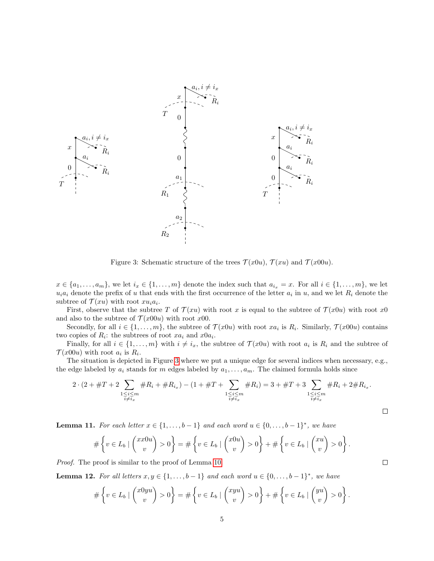

<span id="page-4-0"></span>Figure 3: Schematic structure of the trees  $\mathcal{T}(x0u)$ ,  $\mathcal{T}(xu)$  and  $\mathcal{T}(x00u)$ .

 $x \in \{a_1, \ldots, a_m\}$ , we let  $i_x \in \{1, \ldots, m\}$  denote the index such that  $a_{i_x} = x$ . For all  $i \in \{1, \ldots, m\}$ , we let  $u_i a_i$  denote the prefix of u that ends with the first occurrence of the letter  $a_i$  in u, and we let  $R_i$  denote the subtree of  $\mathcal{T}(xu)$  with root  $xu_i a_i$ .

First, observe that the subtree T of  $\mathcal{T}(xu)$  with root x is equal to the subtree of  $\mathcal{T}(x0u)$  with root x0 and also to the subtree of  $\mathcal{T}(x00u)$  with root  $x00$ .

Secondly, for all  $i \in \{1, \ldots, m\}$ , the subtree of  $\mathcal{T}(x0u)$  with root  $xa_i$  is  $R_i$ . Similarly,  $\mathcal{T}(x00u)$  contains two copies of  $R_i$ : the subtrees of root  $xa_i$  and  $x0a_i$ .

Finally, for all  $i \in \{1, \ldots, m\}$  with  $i \neq i_x$ , the subtree of  $\mathcal{T}(x0u)$  with root  $a_i$  is  $R_i$  and the subtree of  $\mathcal{T}(x00u)$  with root  $a_i$  is  $R_i$ .

The situation is depicted in Figure [3](#page-4-0) where we put a unique edge for several indices when necessary, e.g., the edge labeled by  $a_i$  stands for m edges labeled by  $a_1, \ldots, a_m$ . The claimed formula holds since

$$
2 \cdot (2 + \#T + 2 \sum_{\substack{1 \le i \le m \\ i \neq i_x}} \#R_i + \#R_{i_x}) - (1 + \#T + \sum_{\substack{1 \le i \le m \\ i \neq i_x}} \#R_i) = 3 + \#T + 3 \sum_{\substack{1 \le i \le m \\ i \neq i_x}} \#R_i + 2 \#R_{i_x}.
$$

<span id="page-4-2"></span>**Lemma 11.** For each letter  $x \in \{1, ..., b-1\}$  and each word  $u \in \{0, ..., b-1\}^*$ , we have

$$
\#\left\{v\in L_b\mid \binom{x x 0 u}{v} > 0\right\} = \#\left\{v\in L_b\mid \binom{x 0 u}{v} > 0\right\} + \#\left\{v\in L_b\mid \binom{x u}{v} > 0\right\}.
$$

Proof. The proof is similar to the proof of Lemma [10.](#page-3-2)

<span id="page-4-1"></span>**Lemma 12.** For all letters  $x, y \in \{1, ..., b-1\}$  and each word  $u \in \{0, ..., b-1\}^*$ , we have

$$
\#\left\{v\in L_b\mid \binom{x0yu}{v}>0\right\}=\#\left\{v\in L_b\mid \binom{xyu}{v}>0\right\}+\#\left\{v\in L_b\mid \binom{yu}{v}>0\right\}.
$$

 $\Box$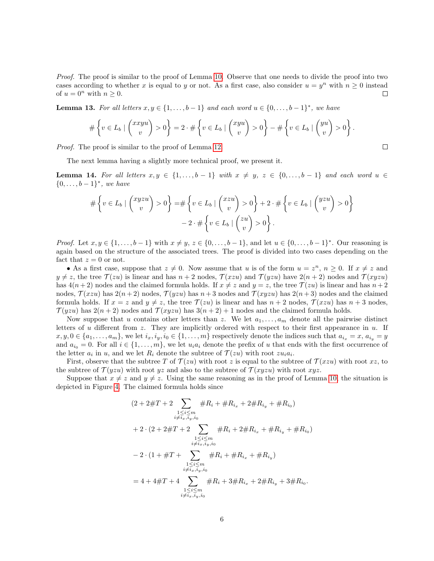Proof. The proof is similar to the proof of Lemma [10.](#page-3-2) Observe that one needs to divide the proof into two cases according to whether x is equal to y or not. As a first case, also consider  $u = y^n$  with  $n \geq 0$  instead of  $u = 0^n$  with  $n \geq 0$ .  $\Box$ 

<span id="page-5-0"></span>**Lemma 13.** For all letters  $x, y \in \{1, ..., b-1\}$  and each word  $u \in \{0, ..., b-1\}^*$ , we have

$$
\#\left\{v \in L_b \mid \binom{xxyu}{v} > 0\right\} = 2 \cdot \#\left\{v \in L_b \mid \binom{xyu}{v} > 0\right\} - \#\left\{v \in L_b \mid \binom{yu}{v} > 0\right\}.
$$

Proof. The proof is similar to the proof of Lemma [12.](#page-4-1)

The next lemma having a slightly more technical proof, we present it.

<span id="page-5-1"></span>**Lemma 14.** For all letters  $x, y \in \{1, \ldots, b-1\}$  with  $x \neq y$ ,  $z \in \{0, \ldots, b-1\}$  and each word  $u \in$  ${0, \ldots, b-1}^*$ , we have

$$
\#\left\{v \in L_b \mid \binom{xyzu}{v} > 0\right\} = \#\left\{v \in L_b \mid \binom{xzu}{v} > 0\right\} + 2 \cdot \#\left\{v \in L_b \mid \binom{yzu}{v} > 0\right\} - 2 \cdot \#\left\{v \in L_b \mid \binom{zu}{v} > 0\right\}.
$$

*Proof.* Let  $x, y \in \{1, ..., b-1\}$  with  $x \neq y, z \in \{0, ..., b-1\}$ , and let  $u \in \{0, ..., b-1\}^*$ . Our reasoning is again based on the structure of the associated trees. The proof is divided into two cases depending on the fact that  $z = 0$  or not.

• As a first case, suppose that  $z \neq 0$ . Now assume that u is of the form  $u = z^n$ ,  $n \geq 0$ . If  $x \neq z$  and  $y \neq z$ , the tree  $\mathcal{T}(zu)$  is linear and has  $n + 2$  nodes,  $\mathcal{T}(xzu)$  and  $\mathcal{T}(yzu)$  have  $2(n + 2)$  nodes and  $\mathcal{T}(xyzu)$ has  $4(n+2)$  nodes and the claimed formula holds. If  $x \neq z$  and  $y = z$ , the tree  $\mathcal{T}(zu)$  is linear and has  $n+2$ nodes,  $\mathcal{T}(xzu)$  has  $2(n+2)$  nodes,  $\mathcal{T}(yzu)$  has  $n+3$  nodes and  $\mathcal{T}(xyzu)$  has  $2(n+3)$  nodes and the claimed formula holds. If  $x = z$  and  $y \neq z$ , the tree  $\mathcal{T}(zu)$  is linear and has  $n + 2$  nodes,  $\mathcal{T}(xzu)$  has  $n + 3$  nodes,  $\mathcal{T}(yzu)$  has  $2(n+2)$  nodes and  $\mathcal{T}(xyzu)$  has  $3(n+2)+1$  nodes and the claimed formula holds.

Now suppose that u contains other letters than z. We let  $a_1, \ldots, a_m$  denote all the pairwise distinct letters of u different from z. They are implicitly ordered with respect to their first appearance in u. If  $x, y, 0 \in \{a_1, \ldots, a_m\}$ , we let  $i_x, i_y, i_0 \in \{1, \ldots, m\}$  respectively denote the indices such that  $a_{i_x} = x, a_{i_y} = y$ and  $a_{i_0} = 0$ . For all  $i \in \{1, \ldots, m\}$ , we let  $u_i a_i$  denote the prefix of u that ends with the first occurrence of the letter  $a_i$  in u, and we let  $R_i$  denote the subtree of  $\mathcal{T}(zu)$  with root  $zu_ia_i$ .

First, observe that the subtree T of  $\mathcal{T}(zu)$  with root z is equal to the subtree of  $\mathcal{T}(xzu)$  with root xz, to the subtree of  $\mathcal{T}(yzu)$  with root yz and also to the subtree of  $\mathcal{T}(xyzu)$  with root xyz.

Suppose that  $x \neq z$  and  $y \neq z$ . Using the same reasoning as in the proof of Lemma [10,](#page-3-2) the situation is depicted in Figure [4.](#page-6-0) The claimed formula holds since

$$
(2+2\#T+2\sum_{\substack{1\leq i\leq m\\i\neq i_x, i_y, i_0}}\#R_i + \#R_{i_x} + 2\#R_{i_y} + \#R_{i_0})
$$
  
+2\cdot(2+2\#T+2\sum\_{\substack{1\leq i\leq m\\i\neq i\_x, i\_y, i\_0}}\#R\_i + 2\#R\_{i\_x} + \#R\_{i\_y} + \#R\_{i\_0})  
-2\cdot(1+\#T+\sum\_{\substack{1\leq i\leq m\\i\neq i\_x, i\_y, i\_0}}\#R\_i + \#R\_{i\_x} + \#R\_{i\_y})  
= 4+4\#T+4\sum\_{\substack{1\leq i\leq m\\i\neq i\_x, i\_y, i\_0}}\#R\_i + 3\#R\_{i\_x} + 2\#R\_{i\_y} + 3\#R\_{i\_0}.

 $\Box$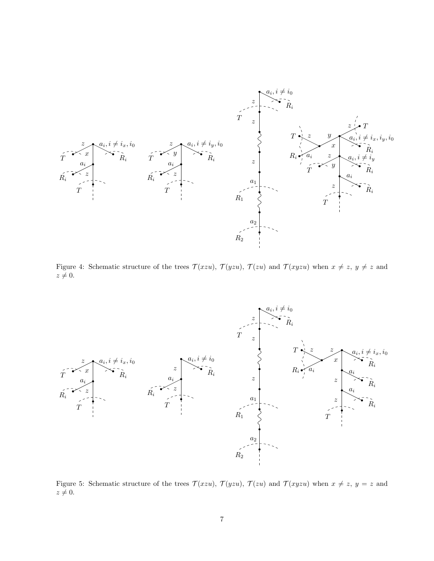

<span id="page-6-0"></span>Figure 4: Schematic structure of the trees  $\mathcal{T}(xzu)$ ,  $\mathcal{T}(yzu)$ ,  $\mathcal{T}(zu)$  and  $\mathcal{T}(xyzu)$  when  $x \neq z$ ,  $y \neq z$  and  $z \neq 0.$ 



<span id="page-6-1"></span>Figure 5: Schematic structure of the trees  $\mathcal{T}(xzu)$ ,  $\mathcal{T}(yzu)$ ,  $\mathcal{T}(zu)$  and  $\mathcal{T}(xyzu)$  when  $x \neq z$ ,  $y = z$  and  $z \neq 0.$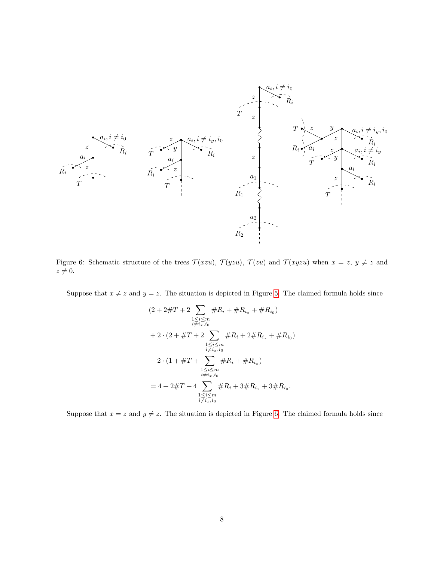

<span id="page-7-0"></span>Figure 6: Schematic structure of the trees  $\mathcal{T}(xzu)$ ,  $\mathcal{T}(yzu)$ ,  $\mathcal{T}(zu)$  and  $\mathcal{T}(xyzu)$  when  $x=z$ ,  $y \neq z$  and  $z \neq 0.$ 

Suppose that  $x \neq z$  and  $y = z$ . The situation is depicted in Figure [5.](#page-6-1) The claimed formula holds since

$$
(2 + 2\#T + 2 \sum_{\substack{1 \le i \le m \\ i \neq i_x, i_0}} \#R_i + \#R_{i_x} + \#R_{i_0})
$$
  
+ 2 \cdot (2 + \#T + 2 \sum\_{\substack{1 \le i \le m \\ i \neq i\_x, i\_0}} \#R\_i + 2\#R\_{i\_x} + \#R\_{i\_0})  
- 2 \cdot (1 + \#T + \sum\_{\substack{1 \le i \le m \\ i \neq i\_x, i\_0}} \#R\_i + \#R\_{i\_x})  
= 4 + 2\#T + 4 \sum\_{\substack{1 \le i \le m \\ i \neq i\_x, i\_0}} \#R\_i + 3\#R\_{i\_x} + 3\#R\_{i\_0}.

Suppose that  $x = z$  and  $y \neq z$ . The situation is depicted in Figure [6.](#page-7-0) The claimed formula holds since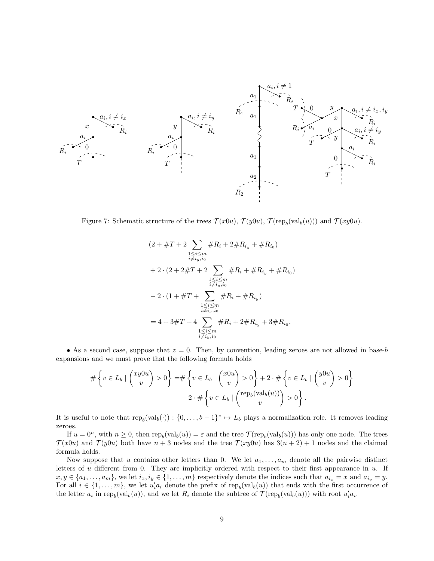

<span id="page-8-0"></span>Figure 7: Schematic structure of the trees  $\mathcal{T}(x0u)$ ,  $\mathcal{T}(y0u)$ ,  $\mathcal{T}(\text{rep}_b(\text{val}_b(u)))$  and  $\mathcal{T}(xy0u)$ .

$$
(2 + \#T + 2 \sum_{\substack{1 \le i \le m \\ i \ne i_y, i_0}} \#R_i + 2 \#R_{i_y} + \#R_{i_0})
$$
  
+ 2 \cdot (2 + 2 \#T + 2 \sum\_{\substack{1 \le i \le m \\ i \ne i\_y, i\_0}} \#R\_i + \#R\_{i\_y} + \#R\_{i\_0})  
- 2 \cdot (1 + \#T + \sum\_{\substack{1 \le i \le m \\ i \ne i\_y, i\_0}} \#R\_i + \#R\_{i\_y})  
= 4 + 3 \#T + 4 \sum\_{\substack{1 \le i \le m \\ i \ne i\_y, i\_0}} \#R\_i + 2 \#R\_{i\_y} + 3 \#R\_{i\_0}.

• As a second case, suppose that  $z = 0$ . Then, by convention, leading zeroes are not allowed in base-b expansions and we must prove that the following formula holds

$$
\#\left\{v \in L_b \mid \binom{xy0u}{v} > 0\right\} = \#\left\{v \in L_b \mid \binom{x0u}{v} > 0\right\} + 2 \cdot \#\left\{v \in L_b \mid \binom{y0u}{v} > 0\right\} - 2 \cdot \#\left\{v \in L_b \mid \binom{\text{rep}_b(\text{val}_b(u))}{v} > 0\right\}.
$$

It is useful to note that  $\text{rep}_b(\text{val}_b(\cdot)) : \{0, \ldots, b-1\}^* \mapsto L_b$  plays a normalization role. It removes leading zeroes.

If  $u = 0^n$ , with  $n \ge 0$ , then  $\text{rep}_b(\text{val}_b(u)) = \varepsilon$  and the tree  $\mathcal{T}(\text{rep}_b(\text{val}_b(u)))$  has only one node. The trees  $\mathcal{T}(x0u)$  and  $\mathcal{T}(y0u)$  both have  $n+3$  nodes and the tree  $\mathcal{T}(xy0u)$  has  $3(n+2)+1$  nodes and the claimed formula holds.

Now suppose that u contains other letters than 0. We let  $a_1, \ldots, a_m$  denote all the pairwise distinct letters of u different from 0. They are implicitly ordered with respect to their first appearance in u. If  $x, y \in \{a_1, \ldots, a_m\}$ , we let  $i_x, i_y \in \{1, \ldots, m\}$  respectively denote the indices such that  $a_{i_x} = x$  and  $a_{i_y} = y$ . For all  $i \in \{1, \ldots, m\}$ , we let  $u_i' a_i$  denote the prefix of rep<sub>b</sub>(val<sub>b</sub>(u)) that ends with the first occurrence of the letter  $a_i$  in rep<sub>b</sub>(val<sub>b</sub>(u)), and we let  $R_i$  denote the subtree of  $\mathcal{T}(\text{rep}_b(\text{val}_b(u)))$  with root  $u_i'a_i$ .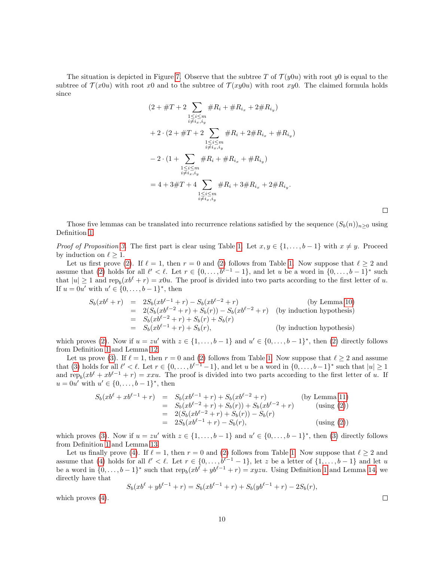The situation is depicted in Figure [7.](#page-8-0) Observe that the subtree T of  $\mathcal{T}(y0u)$  with root y0 is equal to the subtree of  $\mathcal{T}(x0u)$  with root x0 and to the subtree of  $\mathcal{T}(xy0u)$  with root xy0. The claimed formula holds since

$$
(2 + \#T + 2 \sum_{\substack{1 \le i \le m \\ i \neq i_x, i_y}} \#R_i + \#R_{i_x} + 2\#R_{i_y})
$$
  
+ 2 \cdot (2 + \#T + 2 \sum\_{\substack{1 \le i \le m \\ i \neq i\_x, i\_y}} \#R\_i + 2\#R\_{i\_x} + \#R\_{i\_y})  
- 2 \cdot (1 + \sum\_{\substack{1 \le i \le m \\ i \neq i\_x, i\_y}} \#R\_i + \#R\_{i\_x} + \#R\_{i\_y})  
= 4 + 3\#T + 4 \sum\_{\substack{1 \le i \le m \\ i \neq i\_x, i\_y}} \#R\_i + 3\#R\_{i\_x} + 2\#R\_{i\_y}.

 $\Box$ 

Those five lemmas can be translated into recurrence relations satisfied by the sequence  $(S_b(n))_{n>0}$  using Definition [1.](#page-0-0)

Proof of Proposition [3.](#page-2-1) The first part is clear using Table [1.](#page-2-2) Let  $x, y \in \{1, \ldots, b-1\}$  with  $x \neq y$ . Proceed by induction on  $\ell \geq 1$ .

Let us first prove [\(2\)](#page-2-5). If  $\ell = 1$ , then  $r = 0$  and (2) follows from Table [1.](#page-2-2) Now suppose that  $\ell \geq 2$  and assume that [\(2\)](#page-2-5) holds for all  $\ell' < \ell$ . Let  $r \in \{0, \ldots, b^{\ell-1} - 1\}$ , and let u be a word in  $\{0, \ldots, b-1\}^*$  such that  $|u| \geq 1$  and  $\text{rep}_b(xb^{\ell} + r) = x0u$ . The proof is divided into two parts according to the first letter of u. If  $u = 0u'$  with  $u' \in \{0, ..., b-1\}^*$ , then

$$
S_b(xb^{\ell} + r) = 2S_b(xb^{\ell-1} + r) - S_b(xb^{\ell-2} + r)
$$
 (by Lemma 10)  
\n
$$
= 2(S_b(xb^{\ell-2} + r) + S_b(r)) - S_b(xb^{\ell-2} + r)
$$
 (by induction hypothesis)  
\n
$$
= S_b(xb^{\ell-2} + r) + S_b(r) + S_b(r)
$$
  
\n
$$
= S_b(xb^{\ell-1} + r) + S_b(r),
$$
 (by induction hypothesis)

which proves [\(2\)](#page-2-5). Now if  $u = zu'$  with  $z \in \{1, ..., b-1\}$  and  $u' \in \{0, ..., b-1\}^*$ , then (2) directly follows from Definition [1](#page-0-0) and Lemma [12.](#page-4-1)

Let us prove [\(3\)](#page-2-6). If  $\ell = 1$ , then  $r = 0$  and [\(2\)](#page-2-5) follows from Table [1.](#page-2-2) Now suppose that  $\ell \geq 2$  and assume that [\(3\)](#page-2-6) holds for all  $\ell' < \ell$ . Let  $r \in \{0, \ldots, b^{\ell-1}-1\}$ , and let u be a word in  $\{0, \ldots, b-1\}^*$  such that  $|u| \geq 1$ and  $\text{rep}_b(xb^{\ell} + xb^{\ell-1} + r) = xxu$ . The proof is divided into two parts according to the first letter of u. If  $u = 0u'$  with  $u' \in \{0, ..., b-1\}^*$ , then

$$
S_b(xb^{\ell} + xb^{\ell-1} + r) = S_b(xb^{\ell-1} + r) + S_b(xb^{\ell-2} + r)
$$
 (by Lemma 11)  
\n
$$
= S_b(xb^{\ell-2} + r) + S_b(r)) + S_b(xb^{\ell-2} + r)
$$
 (using (2))  
\n
$$
= 2(S_b(xb^{\ell-2} + r) + S_b(r)) - S_b(r)
$$
  
\n
$$
= 2S_b(xb^{\ell-1} + r) - S_b(r),
$$
 (using (2))

which proves [\(3\)](#page-2-6). Now if  $u = zu'$  with  $z \in \{1, ..., b-1\}$  and  $u' \in \{0, ..., b-1\}^*$ , then (3) directly follows from Definition [1](#page-0-0) and Lemma [13.](#page-5-0)

Let us finally prove [\(4\)](#page-2-7). If  $\ell = 1$ , then  $r = 0$  and [\(2\)](#page-2-5) follows from Table [1.](#page-2-2) Now suppose that  $\ell \geq 2$  and assume that [\(4\)](#page-2-7) holds for all  $\ell' < \ell$ . Let  $r \in \{0, \ldots, b^{\ell-1}-1\}$ , let z be a letter of  $\{1, \ldots, b-1\}$  and let u be a word in  $\{0,\ldots,b-1\}^*$  such that  $\text{rep}_b(xb^{\ell}+yb^{\ell-1}+r)=xyzu$ . Using Definition [1](#page-0-0) and Lemma [14,](#page-5-1) we directly have that

$$
S_b(xb^{\ell} + yb^{\ell-1} + r) = S_b(xb^{\ell-1} + r) + S_b(yb^{\ell-1} + r) - 2S_b(r),
$$

which proves [\(4\)](#page-2-7).

 $\Box$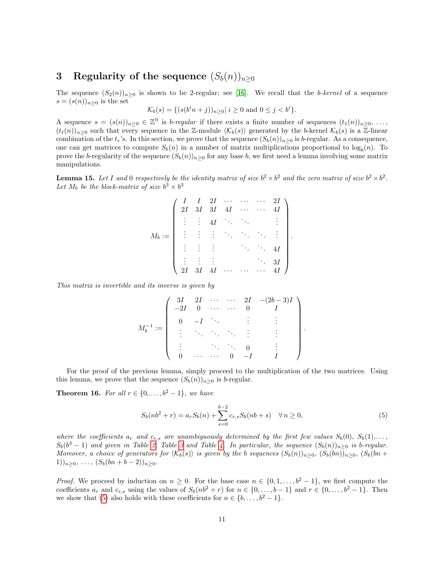## <span id="page-10-0"></span>3 Regularity of the sequence  $(S_b(n))_{n\geq 0}$

The sequence  $(S_2(n))_{n\geq 0}$  is shown to be 2-regular; see [\[16\]](#page-21-3). We recall that the *b-kernel* of a sequence  $s = (s(n))_{n\geq 0}$  is the set

$$
\mathcal{K}_b(s) = \{ (s(b^i n + j))_{n \ge 0} | i \ge 0 \text{ and } 0 \le j < b^i \}.
$$

A sequence  $s = (s(n))_{n \geq 0} \in \mathbb{Z}^{\mathbb{N}}$  is *b-regular* if there exists a finite number of sequences  $(t_1(n))_{n \geq 0}, \ldots$  $(t_{\ell}(n))_{n\geq 0}$  such that every sequence in the Z-module  $\langle K_b(s)\rangle$  generated by the b-kernel  $\mathcal{K}_b(s)$  is a Z-linear combination of the  $t_r$ 's. In this section, we prove that the sequence  $(S_b(n))_{n>0}$  is b-regular. As a consequence, one can get matrices to compute  $S_b(n)$  in a number of matrix multiplications proportional to  $\log_b(n)$ . To prove the b-regularity of the sequence  $(S_b(n))_{n>0}$  for any base b, we first need a lemma involving some matrix manipulations.

<span id="page-10-3"></span>**Lemma 15.** Let I and 0 respectively be the identity matrix of size  $b^2 \times b^2$  and the zero matrix of size  $b^2 \times b^2$ . Let  $M_b$  be the block-matrix of size  $b^3 \times b^3$ 

|          | $2\mathcal{I}$ |               |               |               | $\begin{array}{ccccccccc} I & 2I & \cdots & \cdots \\ 3I & 3I & 4I & \cdots \end{array}$ | $\ldots$ |    |  |
|----------|----------------|---------------|---------------|---------------|------------------------------------------------------------------------------------------|----------|----|--|
|          |                | $\frac{1}{2}$ | 4I            |               | $\mathcal{D}_{\mathcal{A}}$                                                              |          |    |  |
| $M_b :=$ | (主)主义 医内侧      |               |               |               |                                                                                          |          |    |  |
|          |                |               | $\frac{1}{2}$ |               |                                                                                          |          |    |  |
|          |                |               |               |               |                                                                                          |          | 3I |  |
|          | 2I             | 3I            | 4I            | $\frac{1}{2}$ |                                                                                          |          |    |  |

This matrix is invertible and its inverse is given by

$$
M_b^{-1} := \left(\begin{array}{ccccc} 3I & 2I & \cdots & \cdots & 2I & -(2b-3)I \\ -2I & 0 & \cdots & \cdots & 0 & I \\ 0 & -I & \ddots & & \vdots & \vdots \\ \vdots & \ddots & \ddots & \ddots & \vdots & \vdots \\ \vdots & & \ddots & \ddots & 0 & \vdots \\ 0 & \cdots & \cdots & 0 & -I & I \end{array}\right).
$$

For the proof of the previous lemma, simply proceed to the multiplication of the two matrices. Using this lemma, we prove that the sequence  $(S_b(n))_{n\geq 0}$  is b-regular.

<span id="page-10-1"></span>**Theorem 16.** For all  $r \in \{0, \ldots, b^2 - 1\}$ , we have

<span id="page-10-2"></span>
$$
S_b(nb^2 + r) = a_r S_b(n) + \sum_{s=0}^{b-2} c_{r,s} S_b(nb + s) \quad \forall n \ge 0,
$$
\n(5)

.

where the coefficients  $a_r$  and  $c_{r,s}$  are unambiguously determined by the first few values  $S_b(0), S_b(1), \ldots$  $S_b(b^3-1)$  and given in Table [2,](#page-11-0) Table [3](#page-11-1) and Table [4.](#page-11-2) In particular, the sequence  $(S_b(n))_{n\geq 0}$  is b-regular. Moreover, a choice of generators for  $\langle K_b(s)\rangle$  is given by the b sequences  $(S_b(n))_{n\geq 0}$ ,  $(S_b(bn))_{n\geq 0}$ ,  $(S_b(bn))_{n\geq 0}$  $1)$ <sub>n≥0</sub>, ...,  $(S_b(bn + b - 2))_{n \geq 0}$ .

*Proof.* We proceed by induction on  $n \geq 0$ . For the base case  $n \in \{0, 1, \ldots, b^2 - 1\}$ , we first compute the coefficients  $a_r$  and  $c_{r,s}$  using the values of  $S_b(nb^2 + r)$  for  $n \in \{0, \ldots, b-1\}$  and  $r \in \{0, \ldots, b^2-1\}$ . Then we show that [\(5\)](#page-10-2) also holds with these coefficients for  $n \in \{b, \ldots, b^2 - 1\}$ .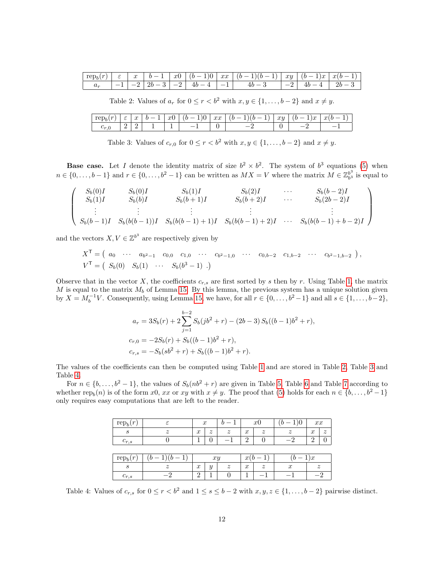|  |  |  | $\boxed{-1}$ $\boxed{-2}$ $\boxed{2b-3}$ $\boxed{-2}$ $\boxed{4b-4}$ $\boxed{-1}$ $\boxed{4b-3}$ | $-2$ $4b-4$ $4c$ | $2b-3$ |
|--|--|--|--------------------------------------------------------------------------------------------------|------------------|--------|

<span id="page-11-0"></span>Table 2: Values of  $a_r$  for  $0 \le r < b^2$  with  $x, y \in \{1, \ldots, b-2\}$  and  $x \ne y$ .

| $\sim$<br>. . | $\overline{\phantom{a}}$<br>◡ | $\sim$<br>u | <b>.</b> | $\sim$<br>w | $\checkmark$<br><b>.</b> | xx | -<br>$\sim$ | 221<br>wy<br>$\cdot$ | $\sim$<br>w<br><b>.</b> | $\sim$<br>w |
|---------------|-------------------------------|-------------|----------|-------------|--------------------------|----|-------------|----------------------|-------------------------|-------------|
| $-200$        |                               | -           |          |             |                          |    |             |                      |                         |             |

<span id="page-11-1"></span>Table 3: Values of  $c_{r,0}$  for  $0 \le r < b^2$  with  $x, y \in \{1, \ldots, b-2\}$  and  $x \ne y$ .

**Base case.** Let I denote the identity matrix of size  $b^2 \times b^2$ . The system of  $b^3$  equations [\(5\)](#page-10-2) when  $n \in \{0, \ldots, b-1\}$  and  $r \in \{0, \ldots, b^2-1\}$  can be written as  $MX = V$  where the matrix  $M \in \mathbb{Z}_{b^3}^{b^3}$  $_{b^3}^{b^{\circ}}$  is equal to

$$
\begin{pmatrix}\nS_b(0)I & S_b(0)I & S_b(1)I & S_b(2)I & \cdots & S_b(b-2)I \\
S_b(1)I & S_b(b)I & S_b(b+1)I & S_b(b+2)I & \cdots & S_b(2b-2)I \\
\vdots & \vdots & \vdots & \vdots & \vdots \\
S_b(b-1)I & S_b(b(b-1))I & S_b(b(b-1)+1)I & S_b(b(b-1)+2)I & \cdots & S_b(b(b-1)+b-2)I\n\end{pmatrix}
$$

and the vectors  $X, V \in \mathbb{Z}^{b^3}$  are respectively given by

$$
X^{\mathsf{T}} = \begin{pmatrix} a_0 & \cdots & a_{b^2-1} & c_{0,0} & c_{1,0} & \cdots & c_{b^2-1,0} & \cdots & c_{0,b-2} & c_{1,b-2} & \cdots & c_{b^2-1,b-2} \end{pmatrix},
$$
  
\n
$$
V^{\mathsf{T}} = \begin{pmatrix} S_b(0) & S_b(1) & \cdots & S_b(b^3-1) \end{pmatrix}.
$$

Observe that in the vector X, the coefficients  $c_{r,s}$  are first sorted by s then by r. Using Table [1,](#page-2-2) the matrix M is equal to the matrix  $M_b$  of Lemma [15.](#page-10-3) By this lemma, the previous system has a unique solution given by  $X = M_b^{-1}V$ . Consequently, using Lemma [15,](#page-10-3) we have, for all  $r \in \{0, \ldots, b^2 - 1\}$  and all  $s \in \{1, \ldots, b - 2\}$ ,

$$
a_r = 3S_b(r) + 2\sum_{j=1}^{b-2} S_b(jb^2 + r) - (2b-3) S_b((b-1)b^2 + r),
$$
  
\n
$$
c_{r,0} = -2S_b(r) + S_b((b-1)b^2 + r),
$$
  
\n
$$
c_{r,s} = -S_b(sb^2 + r) + S_b((b-1)b^2 + r).
$$

The values of the coefficients can then be computed using Table [1](#page-2-2) and are stored in Table [2,](#page-11-0) Table [3](#page-11-1) and Table [4.](#page-11-2)

For  $n \in \{b, \ldots, b^2 - 1\}$ , the values of  $S_b(nb^2 + r)$  are given in Table [5,](#page-12-0) Table [6](#page-12-1) and Table [7](#page-12-2) according to whether rep<sub>b</sub> $(n)$  is of the form x0, xx or xy with  $x \neq y$ . The proof that [\(5\)](#page-10-2) holds for each  $n \in \{b, \ldots, b^2 - 1\}$ only requires easy computations that are left to the reader.

| rep <sub>b</sub><br>$\boldsymbol{r}$ | ε           | $\boldsymbol{x}$ |                  |             |                  | x0               |                  | xx               |                  |
|--------------------------------------|-------------|------------------|------------------|-------------|------------------|------------------|------------------|------------------|------------------|
| S                                    | $\tilde{z}$ | $\boldsymbol{x}$ | $\boldsymbol{z}$ | $\tilde{z}$ | $\boldsymbol{x}$ | $\boldsymbol{z}$ | $\boldsymbol{z}$ | $\boldsymbol{x}$ | $\boldsymbol{z}$ |
| $c_{r,s}$                            |             |                  | 0                |             | $\overline{2}$   |                  |                  | റ                | 0                |
|                                      |             |                  |                  |             |                  |                  |                  |                  |                  |
| rep <sub>h</sub><br>$\boldsymbol{r}$ |             |                  | xy               |             | $\boldsymbol{x}$ |                  |                  | $\mathfrak{c}$   |                  |
| S                                    | $\tilde{z}$ | $\boldsymbol{x}$ | $\boldsymbol{y}$ | $\tilde{z}$ | $\boldsymbol{x}$ | $\tilde{z}$      | $\boldsymbol{x}$ | $\boldsymbol{z}$ |                  |
| $c_{r,s}$                            |             | $\Omega$<br>∠    |                  |             |                  |                  |                  |                  |                  |

<span id="page-11-2"></span>Table 4: Values of  $c_{r,s}$  for  $0 \le r < b^2$  and  $1 \le s \le b-2$  with  $x, y, z \in \{1, \ldots, b-2\}$  pairwise distinct.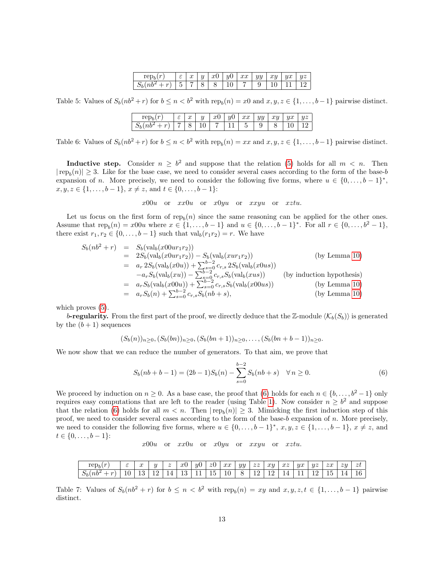| $\sim$<br>$rep_i$     | ε | $\sim$<br>w | $\boldsymbol{u}$ | x0 | y0 | xx | yy | xy | $\overline{ux}$ | yz |
|-----------------------|---|-------------|------------------|----|----|----|----|----|-----------------|----|
| $\sim$<br>$S_b(nb^2)$ | к | −           | $\circ$<br>◡     | U  | v  |    |    |    |                 |    |

<span id="page-12-0"></span>Table 5: Values of  $S_b(nb^2+r)$  for  $b \le n < b^2$  with rep $_b(n) = x0$  and  $x, y, z \in \{1, ..., b-1\}$  pairwise distinct.

| $\sim$<br>1 ch  | $\overline{\phantom{0}}$<br>U | $\curvearrowright$<br>w | $\boldsymbol{\mathit{u}}$<br>v | x0 | иO | xx | yy | IJ. | ЧX | $^{uz}$ |
|-----------------|-------------------------------|-------------------------|--------------------------------|----|----|----|----|-----|----|---------|
| $S_b$<br>$\sim$ | $\overline{\phantom{a}}$      | $\check{ }$             | <b>.</b>                       |    |    | ۰  |    |     |    |         |

<span id="page-12-1"></span>Table 6: Values of  $S_b(nb^2+r)$  for  $b \le n < b^2$  with rep $_b(n) = xx$  and  $x, y, z \in \{1, ..., b-1\}$  pairwise distinct.

**Inductive step.** Consider  $n \geq b^2$  and suppose that the relation [\(5\)](#page-10-2) holds for all  $m < n$ . Then  $|\text{rep}_b(n)| \geq 3$ . Like for the base case, we need to consider several cases according to the form of the base-b expansion of n. More precisely, we need to consider the following five forms, where  $u \in \{0, \ldots, b-1\}^*$ ,  $x, y, z \in \{1, \ldots, b-1\}, x \neq z, \text{ and } t \in \{0, \ldots, b-1\}$ :

 $x00u$  or  $xx0u$  or  $x0yu$  or  $xxyu$  or  $xztu$ .

Let us focus on the first form of  $rep_b(n)$  since the same reasoning can be applied for the other ones. Assume that  $\text{rep}_b(n) = x00u$  where  $x \in \{1, ..., b-1\}$  and  $u \in \{0, ..., b-1\}^*$ . For all  $r \in \{0, ..., b^2-1\}$ , there exist  $r_1, r_2 \in \{0, \ldots, b-1\}$  such that  $\operatorname{val}_b(r_1r_2) = r$ . We have

$$
S_b(nb^2 + r) = S_b(\text{val}_b(x00ur_1r_2))
$$
  
\n
$$
= 2S_b(\text{val}_b(x0ur_1r_2)) - S_b(\text{val}_b(xur_1r_2))
$$
 (by Lemma 10)  
\n
$$
= a_r 2S_b(\text{val}_b(x0u)) + \sum_{s=0}^{b-2} c_{r,s} 2S_b(\text{val}_b(x0us))
$$
  
\n
$$
-a_r S_b(\text{val}_b(xu)) - \sum_{s=0}^{b-2} c_{r,s} S_b(\text{val}_b(xus))
$$
 (by induction hypothesis)  
\n
$$
= a_r S_b(\text{val}_b(x00u)) + \sum_{s=0}^{b-2} c_{r,s} S_b(\text{val}_b(x00us))
$$
 (by Lemma 10)  
\n
$$
= a_r S_b(n) + \sum_{s=0}^{b-2} c_{r,s} S_b(nb + s),
$$
 (by Lemma 10)

which proves  $(5)$ .

b-regularity. From the first part of the proof, we directly deduce that the Z-module  $\langle K_b(S_b) \rangle$  is generated by the  $(b+1)$  sequences

$$
(S_b(n))_{n\geq 0}, (S_b(bn))_{n\geq 0}, (S_b(bn+1))_{n\geq 0}, \ldots, (S_b(bn+b-1))_{n\geq 0}.
$$

We now show that we can reduce the number of generators. To that aim, we prove that

<span id="page-12-3"></span>
$$
S_b(nb + b - 1) = (2b - 1)S_b(n) - \sum_{s=0}^{b-2} S_b(nb + s) \quad \forall n \ge 0.
$$
 (6)

We proceed by induction on  $n \geq 0$ . As a base case, the proof that [\(6\)](#page-12-3) holds for each  $n \in \{b, \ldots, b^2 - 1\}$  only requires easy computations that are left to the reader (using Table [1\)](#page-2-2). Now consider  $n \geq b^2$  and suppose that the relation [\(6\)](#page-12-3) holds for all  $m < n$ . Then  $|\text{rep}_b(n)| \geq 3$ . Mimicking the first induction step of this proof, we need to consider several cases according to the form of the base-b expansion of  $n$ . More precisely, we need to consider the following five forms, where  $u \in \{0, \ldots, b-1\}^*, x, y, z \in \{1, \ldots, b-1\}, x \neq z$ , and  $t \in \{0, \ldots, b-1\}$ :

 $x00u$  or  $xx0u$  or  $x0yu$  or  $xxyu$  or  $xztu$ .

<span id="page-12-2"></span>

| $\sim$<br>$\mathrm{rep}_b$ | -<br>ີ | $\sim$<br>$\overline{u}$ | $\cdot$ $\cdot$ | $\tilde{\phantom{a}}$<br>∼ | xU      | $\mathcal{U}$ | $z_{0}$              | $\sim$<br>xx                   | yy | $\sim$ $\sim$<br>$\overline{\phantom{a}}$ | $x\overline{u}$ | $\sim$ $\sim$<br>$\boldsymbol{\omega}$ | 210<br>u.v | $\overline{u}z$ | $\sim$ $\sim$<br>$\sim$ | $\overline{z}u$<br>e. | zt |
|----------------------------|--------|--------------------------|-----------------|----------------------------|---------|---------------|----------------------|--------------------------------|----|-------------------------------------------|-----------------|----------------------------------------|------------|-----------------|-------------------------|-----------------------|----|
| $\sim$<br>$S_b(n b^2)$     | ΙU     | $\sim$<br>⊥∪             | --              | <b>.</b>                   | -<br>ŦΩ | <u>. .</u>    | $\cdot$ $\sim$<br>ΙU | $\overline{\phantom{a}}$<br>10 | ∽  | <b>. .</b>                                | <b>. .</b>      |                                        |            | --              | <b>. .</b>              | 4                     | 16 |

Table 7: Values of  $S_b(nb^2 + r)$  for  $b \le n < b^2$  with  $rep_b(n) = xy$  and  $x, y, z, t \in \{1, ..., b-1\}$  pairwise distinct.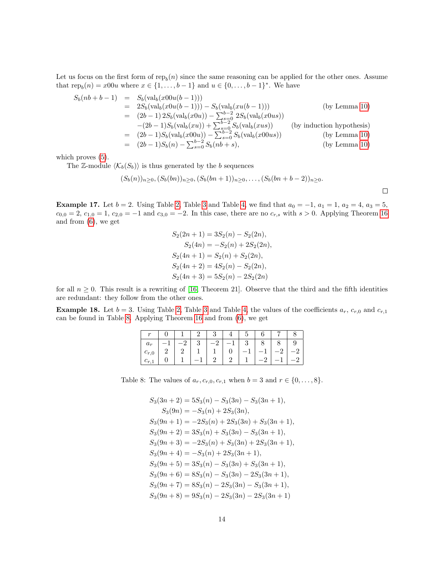Let us focus on the first form of  $\text{rep}_b(n)$  since the same reasoning can be applied for the other ones. Assume that  $\text{rep}_b(n) = x00u$  where  $x \in \{1, ..., b-1\}$  and  $u \in \{0, ..., b-1\}^*$ . We have

$$
S_b(nb+b-1) = S_b(\text{val}_b(x00u(b-1)))
$$
  
\n
$$
= 2S_b(\text{val}_b(x0u(b-1))) - S_b(\text{val}_b(xu(b-1)))
$$
 (by Lemma 10)  
\n
$$
= (2b-1) 2S_b(\text{val}_b(x0u)) - \sum_{s=0}^{b-2} 2S_b(\text{val}_b(x0us))
$$
  
\n
$$
- (2b-1) S_b(\text{val}_b(xu)) + \sum_{s=0}^{b-2} S_b(\text{val}_b(xus))
$$
 (by induction hypothesis)  
\n
$$
= (2b-1) S_b(\text{val}_b(x00u)) - \sum_{s=0}^{b-2} S_b(\text{val}_b(x00us))
$$
 (by Lemma 10)  
\n
$$
= (2b-1) S_b(n) - \sum_{s=0}^{b-2} S_b(nb+s),
$$
 (by Lemma 10)

which proves  $(5)$ .

The Z-module  $\langle K_b(S_b) \rangle$  is thus generated by the b sequences

$$
(S_b(n))_{n\geq 0}, (S_b(bn))_{n\geq 0}, (S_b(bn+1))_{n\geq 0}, \ldots, (S_b(bn+b-2))_{n\geq 0}.
$$

<span id="page-13-1"></span>**Example 17.** Let  $b = 2$ . Using Table [2,](#page-11-0) Table [3](#page-11-1) and Table [4,](#page-11-2) we find that  $a_0 = -1$ ,  $a_1 = 1$ ,  $a_2 = 4$ ,  $a_3 = 5$ ,  $c_{0,0} = 2, c_{1,0} = 1, c_{2,0} = -1$  and  $c_{3,0} = -2$ . In this case, there are no  $c_{r,s}$  with  $s > 0$ . Applying Theorem [16](#page-10-1) and from [\(6\)](#page-12-3), we get

$$
S_2(2n + 1) = 3S_2(n) - S_2(2n),
$$
  
\n
$$
S_2(4n) = -S_2(n) + 2S_2(2n),
$$
  
\n
$$
S_2(4n + 1) = S_2(n) + S_2(2n),
$$
  
\n
$$
S_2(4n + 2) = 4S_2(n) - S_2(2n),
$$
  
\n
$$
S_2(4n + 3) = 5S_2(n) - 2S_2(2n)
$$

for all  $n \geq 0$ . This result is a rewriting of [\[16,](#page-21-3) Theorem 21]. Observe that the third and the fifth identities are redundant: they follow from the other ones.

<span id="page-13-2"></span>**Example 18.** Let  $b = 3$  $b = 3$ . Using Table [2,](#page-11-0) Table 3 and Table [4,](#page-11-2) the values of the coefficients  $a_r$ ,  $c_{r,0}$  and  $c_{r,1}$ can be found in Table [8.](#page-13-0) Applying Theorem [16](#page-10-1) and from [\(6\)](#page-12-3), we get

| $a_r$     | $-2$ | $-2$ | $^{\circ}$ 3 $^{\circ}$ |      |  |
|-----------|------|------|-------------------------|------|--|
| $c_{r,0}$ |      |      | $-1$                    | $-1$ |  |
|           |      |      |                         |      |  |

Table 8: The values of  $a_r, c_{r,0}, c_{r,1}$  when  $b = 3$  and  $r \in \{0, ..., 8\}$ .

<span id="page-13-0"></span>
$$
S_3(3n + 2) = 5S_3(n) - S_3(3n) - S_3(3n + 1),
$$
  
\n
$$
S_3(9n) = -S_3(n) + 2S_3(3n),
$$
  
\n
$$
S_3(9n + 1) = -2S_3(n) + 2S_3(3n) + S_3(3n + 1),
$$
  
\n
$$
S_3(9n + 2) = 3S_3(n) + S_3(3n) - S_3(3n + 1),
$$
  
\n
$$
S_3(9n + 3) = -2S_3(n) + S_3(3n) + 2S_3(3n + 1),
$$
  
\n
$$
S_3(9n + 4) = -S_3(n) + 2S_3(3n + 1),
$$
  
\n
$$
S_3(9n + 5) = 3S_3(n) - S_3(3n) + S_3(3n + 1),
$$
  
\n
$$
S_3(9n + 6) = 8S_3(n) - S_3(3n) - 2S_3(3n + 1),
$$
  
\n
$$
S_3(9n + 7) = 8S_3(n) - 2S_3(3n) - S_3(3n + 1),
$$
  
\n
$$
S_3(9n + 8) = 9S_3(n) - 2S_3(3n) - 2S_3(3n + 1)
$$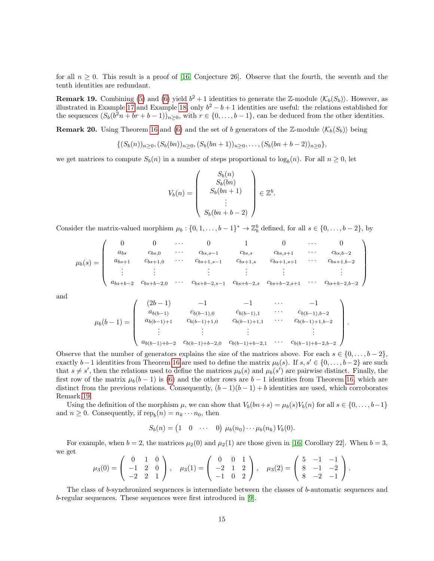for all  $n \geq 0$ . This result is a proof of [\[16,](#page-21-3) Conjecture 26]. Observe that the fourth, the seventh and the tenth identities are redundant.

<span id="page-14-0"></span>**Remark 19.** Combining [\(5\)](#page-10-2) and [\(6\)](#page-12-3) yield  $b^2 + 1$  identities to generate the Z-module  $\langle K_b(S_b) \rangle$ . However, as illustrated in Example [17](#page-13-1) and Example [18,](#page-13-2) only  $b^2 - b + 1$  identities are useful: the relations established for the sequences  $(S_b(b^2n + br + b - 1))_{n \geq 0}$ , with  $r \in \{0, ..., b - 1\}$ , can be deduced from the other identities.

<span id="page-14-1"></span>**Remark 20.** Using Theorem [16](#page-10-1) and [\(6\)](#page-12-3) and the set of b generators of the Z-module  $\langle K_b(S_b) \rangle$  being

$$
\{(S_b(n))_{n\geq 0}, (S_b(bn))_{n\geq 0}, (S_b(bn+1))_{n\geq 0}, \ldots, (S_b(bn+b-2))_{n\geq 0}\},\
$$

we get matrices to compute  $S_b(n)$  in a number of steps proportional to  $\log_b(n)$ . For all  $n \geq 0$ , let

$$
V_b(n) = \begin{pmatrix} S_b(n) \\ S_b(bn) \\ S_b(bn+1) \\ \vdots \\ S_b(bn+b-2) \end{pmatrix} \in \mathbb{Z}^b.
$$

Consider the matrix-valued morphism  $\mu_b: \{0, 1, \ldots, b-1\}^* \to \mathbb{Z}_b^b$  defined, for all  $s \in \{0, \ldots, b-2\}$ , by

$$
\mu_b(s) = \begin{pmatrix}\n0 & 0 & \cdots & 0 & 1 & 0 & \cdots & 0 \\
a_{bs} & c_{bs,0} & \cdots & c_{bs,s-1} & c_{bs,s} & c_{bs,s+1} & \cdots & c_{bs,b-2} \\
a_{bs+1} & c_{bs+1,0} & \cdots & c_{bs+1,s-1} & c_{bs+1,s} & c_{bs+1,s+1} & \cdots & c_{bs+1,b-2} \\
\vdots & \vdots & \ddots & \vdots & \vdots & \vdots & \vdots \\
a_{bs+b-2} & c_{bs+b-2,0} & \cdots & c_{bs+b-2,s-1} & c_{bs+b-2,s} & c_{bs+b-2,s+1} & \cdots & c_{bs+b-2,b-2}\n\end{pmatrix}
$$

and

$$
\mu_b(b-1) = \begin{pmatrix}\n(2b-1) & -1 & -1 & \cdots & -1 \\
a_{b(b-1)} & c_{b(b-1),0} & c_{b(b-1),1} & \cdots & c_{b(b-1),b-2} \\
a_{b(b-1)+1} & c_{b(b-1)+1,0} & c_{b(b-1)+1,1} & \cdots & c_{b(b-1)+1,b-2} \\
\vdots & \vdots & \vdots & \vdots & \vdots \\
a_{b(b-1)+b-2} & c_{b(b-1)+b-2,0} & c_{b(b-1)+b-2,1} & \cdots & c_{b(b-1)+b-2,b-2}\n\end{pmatrix}
$$

.

Observe that the number of generators explains the size of the matrices above. For each  $s \in \{0, \ldots, b-2\}$ , exactly  $b-1$  identities from Theorem [16](#page-10-1) are used to define the matrix  $\mu_b(s)$ . If  $s, s' \in \{0, \ldots, b-2\}$  are such that  $s \neq s'$ , then the relations used to define the matrices  $\mu_b(s)$  and  $\mu_b(s')$  are pairwise distinct. Finally, the first row of the matrix  $\mu_b(b-1)$  is [\(6\)](#page-12-3) and the other rows are  $b-1$  identities from Theorem [16,](#page-10-1) which are distinct from the previous relations. Consequently,  $(b-1)(b-1) + b$  identities are used, which corroborates Remark [19.](#page-14-0)

Using the definition of the morphism  $\mu$ , we can show that  $V_b(bn+s) = \mu_b(s)V_b(n)$  for all  $s \in \{0, \ldots, b-1\}$ and  $n \geq 0$ . Consequently, if  $\text{rep}_b(n) = n_k \cdots n_0$ , then

$$
S_b(n) = \begin{pmatrix} 1 & 0 & \cdots & 0 \end{pmatrix} \mu_b(n_0) \cdots \mu_b(n_k) V_b(0).
$$

For example, when  $b = 2$ , the matrices  $\mu_2(0)$  and  $\mu_2(1)$  are those given in [\[16,](#page-21-3) Corollary 22]. When  $b = 3$ , we get

$$
\mu_3(0) = \begin{pmatrix} 0 & 1 & 0 \\ -1 & 2 & 0 \\ -2 & 2 & 1 \end{pmatrix}, \quad \mu_3(1) = \begin{pmatrix} 0 & 0 & 1 \\ -2 & 1 & 2 \\ -1 & 0 & 2 \end{pmatrix}, \quad \mu_3(2) = \begin{pmatrix} 5 & -1 & -1 \\ 8 & -1 & -2 \\ 8 & -2 & -1 \end{pmatrix}.
$$

The class of b-synchronized sequences is intermediate between the classes of b-automatic sequences and b-regular sequences. These sequences were first introduced in [\[9\]](#page-21-10).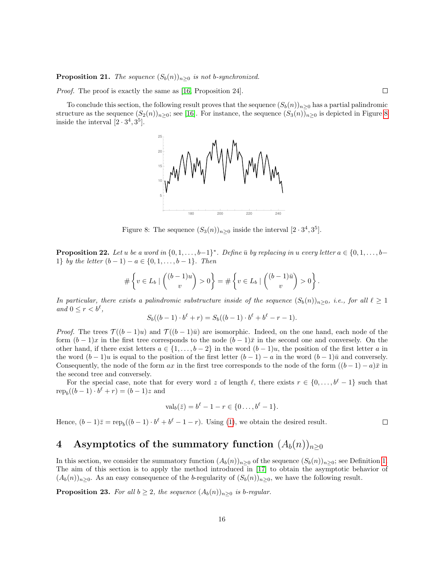**Proposition 21.** The sequence  $(S_b(n))_{n\geq 0}$  is not b-synchronized.

Proof. The proof is exactly the same as [\[16,](#page-21-3) Proposition 24].

To conclude this section, the following result proves that the sequence  $(S_b(n))_{n>0}$  has a partial palindromic structure as the sequence  $(S_2(n))_{n>0}$ ; see [\[16\]](#page-21-3). For instance, the sequence  $(S_3(n))_{n>0}$  is depicted in Figure [8](#page-15-1) inside the interval  $[2 \cdot 3^4, 3^5]$ .

 $\Box$ 

 $\Box$ 



<span id="page-15-1"></span>Figure 8: The sequence  $(S_3(n))_{n\geq 0}$  inside the interval  $[2 \cdot 3^4, 3^5]$ .

**Proposition 22.** Let u be a word in  $\{0, 1, \ldots, b-1\}^*$ . Define  $\bar{u}$  by replacing in u every letter  $a \in \{0, 1, \ldots, b-1\}$ 1} by the letter  $(b-1) - a \in \{0, 1, \ldots, b-1\}$ . Then

$$
\#\left\{v\in L_b\mid \binom{(b-1)u}{v}>0\right\}=\#\left\{v\in L_b\mid \binom{(b-1)\bar{u}}{v}>0\right\}.
$$

In particular, there exists a palindromic substructure inside of the sequence  $(S_b(n))_{n>0}$ , i.e., for all  $\ell \geq 1$ and  $0 \leq r < b^{\ell}$ ,

$$
S_b((b-1)\cdot b^{\ell} + r) = S_b((b-1)\cdot b^{\ell} + b^{\ell} - r - 1).
$$

*Proof.* The trees  $\mathcal{T}((b-1)u)$  and  $\mathcal{T}((b-1)\bar{u})$  are isomorphic. Indeed, on the one hand, each node of the form  $(b-1)x$  in the first tree corresponds to the node  $(b-1)\bar{x}$  in the second one and conversely. On the other hand, if there exist letters  $a \in \{1, \ldots, b-2\}$  in the word  $(b-1)u$ , the position of the first letter a in the word  $(b-1)u$  is equal to the position of the first letter  $(b-1) - a$  in the word  $(b-1)\overline{u}$  and conversely. Consequently, the node of the form  $ax$  in the first tree corresponds to the node of the form  $((b-1) - a)\bar{x}$  in the second tree and conversely.

For the special case, note that for every word z of length  $\ell$ , there exists  $r \in \{0, \ldots, b^{\ell} - 1\}$  such that  $\text{rep}_b((b-1)\cdot b^{\ell} + r) = (b-1)z$  and

$$
\text{val}_b(\bar{z}) = b^{\ell} - 1 - r \in \{0 \dots, b^{\ell} - 1\}.
$$

Hence,  $(b-1)\overline{z} = \text{rep}_b((b-1) \cdot b^{\ell} + b^{\ell} - 1 - r)$ . Using [\(1\)](#page-0-0), we obtain the desired result.

# <span id="page-15-0"></span>4 Asymptotics of the summatory function  $(A_b(n))_{n\geq 0}$

In this section, we consider the summatory function  $(A_b(n))_{n>0}$  of the sequence  $(S_b(n))_{n>0}$ ; see Definition [1.](#page-0-0) The aim of this section is to apply the method introduced in [\[17\]](#page-21-4) to obtain the asymptotic behavior of  $(A_b(n))_{n\geq 0}$ . As an easy consequence of the b-regularity of  $(S_b(n))_{n\geq 0}$ , we have the following result.

**Proposition 23.** For all  $b \geq 2$ , the sequence  $(A_b(n))_{n \geq 0}$  is b-regular.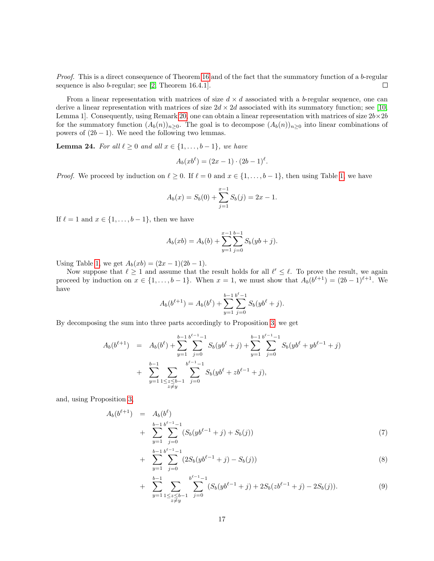Proof. This is a direct consequence of Theorem [16](#page-10-1) and of the fact that the summatory function of a b-regular sequence is also b-regular; see [\[2,](#page-20-5) Theorem 16.4.1].  $\Box$ 

From a linear representation with matrices of size  $d \times d$  associated with a b-regular sequence, one can derive a linear representation with matrices of size  $2d \times 2d$  associated with its summatory function; see [\[10,](#page-21-11) Lemma 1]. Consequently, using Remark [20,](#page-14-1) one can obtain a linear representation with matrices of size  $2b \times 2b$ for the summatory function  $(A_b(n))_{n\geq 0}$ . The goal is to decompose  $(A_b(n))_{n\geq 0}$  into linear combinations of powers of  $(2b-1)$ . We need the following two lemmas.

<span id="page-16-1"></span>**Lemma 24.** For all  $\ell \geq 0$  and all  $x \in \{1, \ldots, b-1\}$ , we have

$$
A_b(xb^{\ell}) = (2x - 1) \cdot (2b - 1)^{\ell}.
$$

*Proof.* We proceed by induction on  $\ell \geq 0$ . If  $\ell = 0$  and  $x \in \{1, \ldots, b - 1\}$ , then using Table [1,](#page-2-2) we have

$$
A_b(x) = S_b(0) + \sum_{j=1}^{x-1} S_b(j) = 2x - 1.
$$

If  $\ell = 1$  and  $x \in \{1, \ldots, b - 1\}$ , then we have

$$
A_b(xb) = A_b(b) + \sum_{y=1}^{x-1} \sum_{j=0}^{b-1} S_b(yb + j).
$$

Using Table [1,](#page-2-2) we get  $A_b(xb) = (2x - 1)(2b - 1)$ .

Now suppose that  $\ell \geq 1$  and assume that the result holds for all  $\ell' \leq \ell$ . To prove the result, we again proceed by induction on  $x \in \{1, \ldots, b-1\}$ . When  $x = 1$ , we must show that  $A_b(b^{\ell+1}) = (2b-1)^{\ell+1}$ . We have

$$
A_b(b^{\ell+1}) = A_b(b^{\ell}) + \sum_{y=1}^{b-1} \sum_{j=0}^{b^{\ell}-1} S_b(yb^{\ell} + j).
$$

By decomposing the sum into three parts accordingly to Proposition [3,](#page-2-1) we get

$$
A_b(b^{\ell+1}) = A_b(b^{\ell}) + \sum_{y=1}^{b-1} \sum_{j=0}^{b^{\ell-1}-1} S_b(yb^{\ell}+j) + \sum_{y=1}^{b-1} \sum_{j=0}^{b^{\ell-1}-1} S_b(yb^{\ell}+yb^{\ell-1}+j) + \sum_{y=1}^{b-1} \sum_{\substack{z \le b-1 \\ z \neq y}} \sum_{j=0}^{b^{\ell-1}-1} S_b(yb^{\ell}+zb^{\ell-1}+j),
$$

and, using Proposition [3,](#page-2-1)

<span id="page-16-0"></span>
$$
A_b(b^{\ell+1}) = A_b(b^{\ell})
$$
  
+ 
$$
\sum_{y=1}^{b-1} \sum_{j=0}^{b^{\ell-1}-1} (S_b(yb^{\ell-1}+j) + S_b(j))
$$
 (7)

$$
+\sum_{y=1}^{b-1} \sum_{j=0}^{b^{\ell-1}-1} (2S_b(yb^{\ell-1}+j)-S_b(j))\tag{8}
$$

+ 
$$
\sum_{y=1}^{b-1} \sum_{\substack{1 \le z \le b-1 \\ z \ne y}} \sum_{j=0}^{b^{\ell-1}-1} (S_b(yb^{\ell-1}+j) + 2S_b(zb^{\ell-1}+j) - 2S_b(j)).
$$
 (9)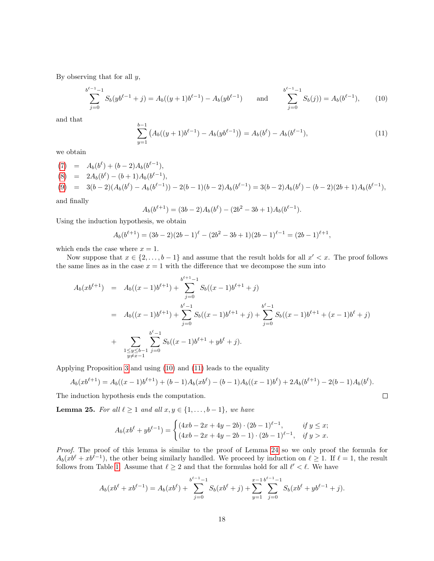By observing that for all  $y$ ,

<span id="page-17-0"></span>
$$
\sum_{j=0}^{b^{\ell-1}-1} S_b(yb^{\ell-1}+j) = A_b((y+1)b^{\ell-1}) - A_b(yb^{\ell-1}) \quad \text{and} \quad \sum_{j=0}^{b^{\ell-1}-1} S_b(j)) = A_b(b^{\ell-1}), \quad (10)
$$

and that

<span id="page-17-1"></span>
$$
\sum_{y=1}^{b-1} \left( A_b((y+1)b^{\ell-1}) - A_b(yb^{\ell-1}) \right) = A_b(b^{\ell}) - A_b(b^{\ell-1}), \tag{11}
$$

we obtain

(7) = 
$$
A_b(b^{\ell}) + (b-2)A_b(b^{\ell-1}),
$$
  
\n(8) =  $2A_b(b^{\ell}) - (b+1)A_b(b^{\ell-1}),$   
\n(9) =  $3(b-2)(A_b(b^{\ell}) - A_b(b^{\ell-1})) - 2(b-1)(b-2)A_b(b^{\ell-1}) = 3(b-2)A_b(b^{\ell}) - (b-2)(2b+1)A_b(b^{\ell-1}),$ 

and finally

$$
A_b(b^{\ell+1}) = (3b-2)A_b(b^{\ell}) - (2b^2 - 3b + 1)A_b(b^{\ell-1}).
$$

Using the induction hypothesis, we obtain

$$
A_b(b^{\ell+1}) = (3b-2)(2b-1)^{\ell} - (2b^2 - 3b + 1)(2b-1)^{\ell-1} = (2b-1)^{\ell+1},
$$

which ends the case where  $x = 1$ .

Now suppose that  $x \in \{2, \ldots, b-1\}$  and assume that the result holds for all  $x' < x$ . The proof follows the same lines as in the case  $x = 1$  with the difference that we decompose the sum into

$$
A_b(xb^{\ell+1}) = A_b((x-1)b^{\ell+1}) + \sum_{j=0}^{b^{\ell+1}-1} S_b((x-1)b^{\ell+1} + j)
$$
  
=  $A_b((x-1)b^{\ell+1}) + \sum_{j=0}^{b^{\ell}-1} S_b((x-1)b^{\ell+1} + j) + \sum_{j=0}^{b^{\ell}-1} S_b((x-1)b^{\ell+1} + (x-1)b^{\ell} + j)$   
+  $\sum_{\substack{1 \le y \le b-1 \\ y \ne x-1}} \sum_{j=0}^{b^{\ell}-1} S_b((x-1)b^{\ell+1} + yb^{\ell} + j).$ 

Applying Proposition [3](#page-2-1) and using [\(10\)](#page-17-0) and [\(11\)](#page-17-1) leads to the equality

$$
A_b(xb^{\ell+1}) = A_b((x-1)b^{\ell+1}) + (b-1)A_b(xb^{\ell}) - (b-1)A_b((x-1)b^{\ell}) + 2A_b(b^{\ell+1}) - 2(b-1)A_b(b^{\ell}).
$$
  
induction hypothesis ends the computation.

The induction hypothesis ends the computation.

<span id="page-17-2"></span>**Lemma 25.** For all  $\ell \geq 1$  and all  $x, y \in \{1, \ldots, b-1\}$ , we have

$$
A_b(xb^{\ell} + yb^{\ell-1}) = \begin{cases} (4xb - 2x + 4y - 2b) \cdot (2b - 1)^{\ell-1}, & \text{if } y \leq x; \\ (4xb - 2x + 4y - 2b - 1) \cdot (2b - 1)^{\ell-1}, & \text{if } y > x. \end{cases}
$$

Proof. The proof of this lemma is similar to the proof of Lemma [24](#page-16-1) so we only proof the formula for  $A_b(xb^{\ell} + xb^{\ell-1})$ , the other being similarly handled. We proceed by induction on  $\ell \geq 1$ . If  $\ell = 1$ , the result follows from Table [1.](#page-2-2) Assume that  $\ell \geq 2$  and that the formulas hold for all  $\ell' < \ell$ . We have

$$
A_b(xb^{\ell} + xb^{\ell-1}) = A_b(xb^{\ell}) + \sum_{j=0}^{b^{\ell-1}-1} S_b(xb^{\ell} + j) + \sum_{y=1}^{x-1} \sum_{j=0}^{b^{\ell-1}-1} S_b(xb^{\ell} + yb^{\ell-1} + j).
$$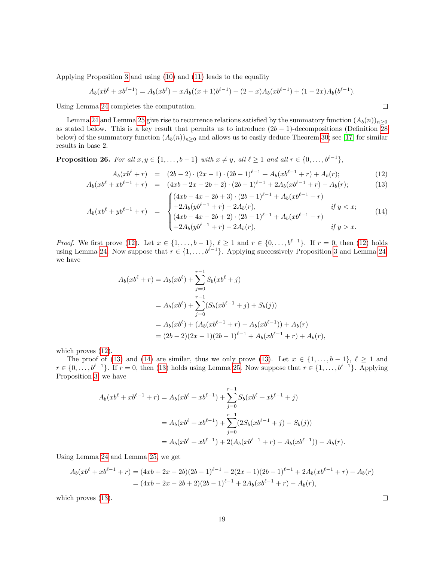Applying Proposition [3](#page-2-1) and using [\(10\)](#page-17-0) and [\(11\)](#page-17-1) leads to the equality

$$
A_b(xb^{\ell} + xb^{\ell-1}) = A_b(xb^{\ell}) + xA_b((x+1)b^{\ell-1}) + (2-x)A_b(xb^{\ell-1}) + (1-2x)A_b(b^{\ell-1}).
$$

Using Lemma [24](#page-16-1) completes the computation.

Lemma [24](#page-16-1) and Lemma [25](#page-17-2) give rise to recurrence relations satisfied by the summatory function  $(A_b(n))_{n>0}$ as stated below. This is a key result that permits us to introduce  $(2b - 1)$ -decompositions (Definition [28](#page-19-0)) below) of the summatory function  $(A_b(n))_{n\geq 0}$  and allows us to easily deduce Theorem [30;](#page-20-6) see [\[17\]](#page-21-4) for similar results in base 2.

<span id="page-18-0"></span>**Proposition 26.** For all  $x, y \in \{1, \ldots, b-1\}$  with  $x \neq y$ , all  $\ell \geq 1$  and all  $r \in \{0, \ldots, b^{\ell-1}\},$ 

$$
A_b(xb^{\ell} + r) = (2b - 2) \cdot (2x - 1) \cdot (2b - 1)^{\ell - 1} + A_b(xb^{\ell - 1} + r) + A_b(r); \tag{12}
$$
  
\n
$$
A_b(xb^{\ell} + xb^{\ell - 1} + r) = (4xb - 2x - 2b + 2) \cdot (2b - 1)^{\ell - 1} + 2A_b(xb^{\ell - 1} + r) - A_b(r); \tag{13}
$$

<span id="page-18-1"></span>
$$
\left( \left( 4x b - 4x - 2b + 3 \right) \cdot \left( 2b - 1 \right)^{\ell - 1} + A_b(x b^{\ell - 1} + r) \right)
$$

$$
A_b(xb^{\ell} + yb^{\ell-1} + r) = \begin{cases} +2A_b(yb^{\ell-1} + r) - 2A_b(r), & \text{if } y < x; \\ (4xb - 4x - 2b + 2) \cdot (2b - 1)^{\ell-1} + A_b(xb^{\ell-1} + r) \\ +2A_b(yb^{\ell-1} + r) - 2A_b(r), & \text{if } y > x. \end{cases}
$$
(14)

*Proof.* We first prove [\(12\)](#page-18-1). Let  $x \in \{1, ..., b-1\}$ ,  $\ell \ge 1$  and  $r \in \{0, ..., b^{\ell-1}\}$ . If  $r = 0$ , then (12) holds using Lemma [24.](#page-16-1) Now suppose that  $r \in \{1, \ldots, b^{\ell-1}\}\$ . Applying successively Proposition [3](#page-2-1) and Lemma [24,](#page-16-1) we have

$$
A_b(xb^{\ell} + r) = A_b(xb^{\ell}) + \sum_{j=0}^{r-1} S_b(xb^{\ell} + j)
$$
  
=  $A_b(xb^{\ell}) + \sum_{j=0}^{r-1} (S_b(xb^{\ell-1} + j) + S_b(j))$   
=  $A_b(xb^{\ell}) + (A_b(xb^{\ell-1} + r) - A_b(xb^{\ell-1})) + A_b(r)$   
=  $(2b - 2)(2x - 1)(2b - 1)^{\ell-1} + A_b(xb^{\ell-1} + r) + A_b(r),$ 

which proves  $(12)$ .

The proof of [\(13\)](#page-18-1) and [\(14\)](#page-18-1) are similar, thus we only prove (13). Let  $x \in \{1, \ldots, b-1\}, \ell \ge 1$  and  $r \in \{0, \ldots, b^{\ell-1}\}.$  If  $r = 0$ , then [\(13\)](#page-18-1) holds using Lemma [25.](#page-17-2) Now suppose that  $r \in \{1, \ldots, b^{\ell-1}\}.$  Applying Proposition [3,](#page-2-1) we have

$$
A_b(xb^{\ell} + xb^{\ell-1} + r) = A_b(xb^{\ell} + xb^{\ell-1}) + \sum_{j=0}^{r-1} S_b(xb^{\ell} + xb^{\ell-1} + j)
$$
  
=  $A_b(xb^{\ell} + xb^{\ell-1}) + \sum_{j=0}^{r-1} (2S_b(xb^{\ell-1} + j) - S_b(j))$   
=  $A_b(xb^{\ell} + xb^{\ell-1}) + 2(A_b(xb^{\ell-1} + r) - A_b(xb^{\ell-1})) - A_b(r).$ 

Using Lemma [24](#page-16-1) and Lemma [25,](#page-17-2) we get

$$
A_b(xb^{\ell} + xb^{\ell-1} + r) = (4xb + 2x - 2b)(2b - 1)^{\ell-1} - 2(2x - 1)(2b - 1)^{\ell-1} + 2A_b(xb^{\ell-1} + r) - A_b(r)
$$
  
=  $(4xb - 2x - 2b + 2)(2b - 1)^{\ell-1} + 2A_b(xb^{\ell-1} + r) - A_b(r),$ 

which proves  $(13)$ .

 $\Box$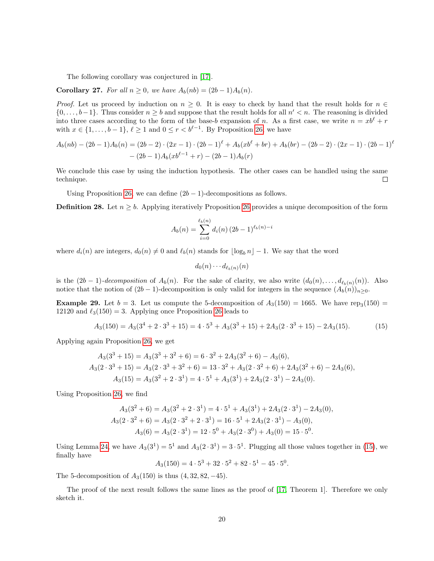The following corollary was conjectured in [\[17\]](#page-21-4).

<span id="page-19-2"></span>Corollary 27. For all  $n \geq 0$ , we have  $A_b(nb) = (2b-1)A_b(n)$ .

*Proof.* Let us proceed by induction on  $n \geq 0$ . It is easy to check by hand that the result holds for  $n \in \mathbb{Z}$  $\{0,\ldots,b-1\}$ . Thus consider  $n \geq b$  and suppose that the result holds for all  $n' < n$ . The reasoning is divided into three cases according to the form of the base-b expansion of n. As a first case, we write  $n = xb^{\ell} + r$ with  $x \in \{1, \ldots, b-1\}, \ell \geq 1$  and  $0 \leq r < b^{\ell-1}$ . By Proposition [26,](#page-18-0) we have

$$
A_b(nb) - (2b-1)A_b(n) = (2b-2) \cdot (2x-1) \cdot (2b-1)^{\ell} + A_b(xb^{\ell} + br) + A_b(br) - (2b-2) \cdot (2x-1) \cdot (2b-1)^{\ell}
$$
  
-  $(2b-1)A_b(xb^{\ell-1} + r) - (2b-1)A_b(r)$ 

We conclude this case by using the induction hypothesis. The other cases can be handled using the same technique.  $\Box$ 

Using Proposition [26,](#page-18-0) we can define  $(2b - 1)$ -decompositions as follows.

<span id="page-19-0"></span>**Definition 28.** Let  $n \geq b$ . Applying iteratively Proposition [26](#page-18-0) provides a unique decomposition of the form

$$
A_b(n) = \sum_{i=0}^{\ell_b(n)} d_i(n) (2b-1)^{\ell_b(n)-i}
$$

where  $d_i(n)$  are integers,  $d_0(n) \neq 0$  and  $\ell_b(n)$  stands for  $|\log_b n| - 1$ . We say that the word

$$
d_0(n)\cdots d_{\ell_b(n)}(n)
$$

is the  $(2b-1)$ -decomposition of  $A_b(n)$ . For the sake of clarity, we also write  $(d_0(n), \ldots, d_{\ell_b(n)}(n))$ . Also notice that the notion of  $(2b-1)$ -decomposition is only valid for integers in the sequence  $(A_b(n))_{n>0}$ .

**Example 29.** Let  $b = 3$ . Let us compute the 5-decomposition of  $A_3(150) = 1665$ . We have rep<sub>3</sub>(150) = 12120 and  $\ell_3(150) = 3$ . Applying once Proposition [26](#page-18-0) leads to

<span id="page-19-1"></span>
$$
A_3(150) = A_3(3^4 + 2 \cdot 3^3 + 15) = 4 \cdot 5^3 + A_3(3^3 + 15) + 2A_3(2 \cdot 3^3 + 15) - 2A_3(15). \tag{15}
$$

Applying again Proposition [26,](#page-18-0) we get

$$
A_3(3^3 + 15) = A_3(3^3 + 3^2 + 6) = 6 \cdot 3^2 + 2A_3(3^2 + 6) - A_3(6),
$$
  
\n
$$
A_3(2 \cdot 3^3 + 15) = A_3(2 \cdot 3^3 + 3^2 + 6) = 13 \cdot 3^2 + A_3(2 \cdot 3^2 + 6) + 2A_3(3^2 + 6) - 2A_3(6),
$$
  
\n
$$
A_3(15) = A_3(3^2 + 2 \cdot 3^1) = 4 \cdot 5^1 + A_3(3^1) + 2A_3(2 \cdot 3^1) - 2A_3(0).
$$

Using Proposition [26,](#page-18-0) we find

$$
A_3(3^2 + 6) = A_3(3^2 + 2 \cdot 3^1) = 4 \cdot 5^1 + A_3(3^1) + 2A_3(2 \cdot 3^1) - 2A_3(0),
$$
  
\n
$$
A_3(2 \cdot 3^2 + 6) = A_3(2 \cdot 3^2 + 2 \cdot 3^1) = 16 \cdot 5^1 + 2A_3(2 \cdot 3^1) - A_3(0),
$$
  
\n
$$
A_3(6) = A_3(2 \cdot 3^1) = 12 \cdot 5^0 + A_3(2 \cdot 3^0) + A_3(0) = 15 \cdot 5^0.
$$

Using Lemma [24,](#page-16-1) we have  $A_3(3^1) = 5^1$  and  $A_3(2 \cdot 3^1) = 3 \cdot 5^1$ . Plugging all those values together in [\(15\)](#page-19-1), we finally have

 $A_3(150) = 4 \cdot 5^3 + 32 \cdot 5^2 + 82 \cdot 5^1 - 45 \cdot 5^0.$ 

The 5-decomposition of  $A_3(150)$  is thus  $(4, 32, 82, -45)$ .

The proof of the next result follows the same lines as the proof of [\[17,](#page-21-4) Theorem 1]. Therefore we only sketch it.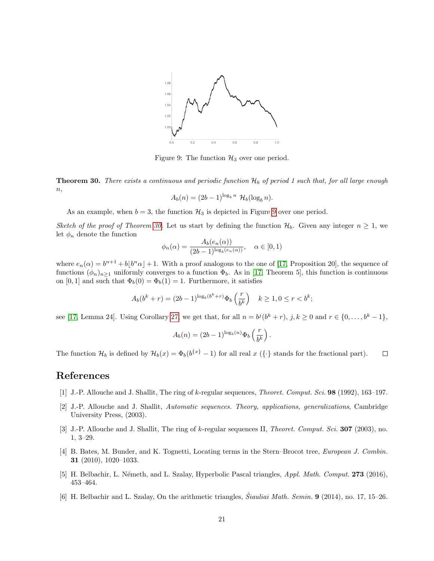

<span id="page-20-7"></span>Figure 9: The function  $\mathcal{H}_3$  over one period.

<span id="page-20-6"></span>**Theorem 30.** There exists a continuous and periodic function  $\mathcal{H}_b$  of period 1 such that, for all large enough  $n,$ 

$$
A_b(n) = (2b-1)^{\log_b n} \mathcal{H}_b(\log_b n).
$$

As an example, when  $b = 3$ , the function  $\mathcal{H}_3$  is depicted in Figure [9](#page-20-7) over one period.

Sketch of the proof of Theorem [30.](#page-20-6) Let us start by defining the function  $\mathcal{H}_b$ . Given any integer  $n \geq 1$ , we let  $\phi_n$  denote the function

$$
\phi_n(\alpha) = \frac{A_b(e_n(\alpha))}{(2b-1)^{\log_b(e_n(\alpha))}}, \quad \alpha \in [0,1)
$$

where  $e_n(\alpha) = b^{n+1} + b\lfloor b^n \alpha \rfloor + 1$ . With a proof analogous to the one of [\[17,](#page-21-4) Proposition 20], the sequence of functions  $(\phi_n)_{n>1}$  uniformly converges to a function  $\Phi_b$ . As in [\[17,](#page-21-4) Theorem 5], this function is continuous on [0, 1] and such that  $\Phi_b(0) = \Phi_b(1) = 1$ . Furthermore, it satisfies

$$
A_b(b^k + r) = (2b - 1)^{\log_b(b^k + r)} \Phi_b\left(\frac{r}{b^k}\right) \quad k \ge 1, 0 \le r < b^k;
$$

see [\[17,](#page-21-4) Lemma 24]. Using Corollary [27,](#page-19-2) we get that, for all  $n = b^j(b^k + r)$ ,  $j, k \ge 0$  and  $r \in \{0, \ldots, b^k - 1\}$ ,

$$
A_b(n) = (2b-1)^{\log_b(n)} \Phi_b\left(\frac{r}{b^k}\right).
$$

The function  $\mathcal{H}_b$  is defined by  $\mathcal{H}_b(x) = \Phi_b(b^{\{x\}} - 1)$  for all real x  $(\{\cdot\})$  stands for the fractional part).  $\Box$ 

### References

- <span id="page-20-2"></span>[1] J.-P. Allouche and J. Shallit, The ring of k-regular sequences, Theoret. Comput. Sci. 98 (1992), 163–197.
- <span id="page-20-5"></span>[2] J.-P. Allouche and J. Shallit, Automatic sequences. Theory, applications, generalizations, Cambridge University Press, (2003).
- <span id="page-20-3"></span>[3] J.-P. Allouche and J. Shallit, The ring of k-regular sequences II, Theoret. Comput. Sci. **307** (2003), no. 1, 3–29.
- <span id="page-20-4"></span>[4] B. Bates, M. Bunder, and K. Tognetti, Locating terms in the Stern–Brocot tree, European J. Combin. 31 (2010), 1020–1033.
- <span id="page-20-0"></span>[5] H. Belbachir, L. Németh, and L. Szalay, Hyperbolic Pascal triangles, Appl. Math. Comput. 273 (2016), 453–464.
- <span id="page-20-1"></span>[6] H. Belbachir and L. Szalay, On the arithmetic triangles,  $\ddot{S}iauliai Math. Semin.$  **9** (2014), no. 17, 15–26.